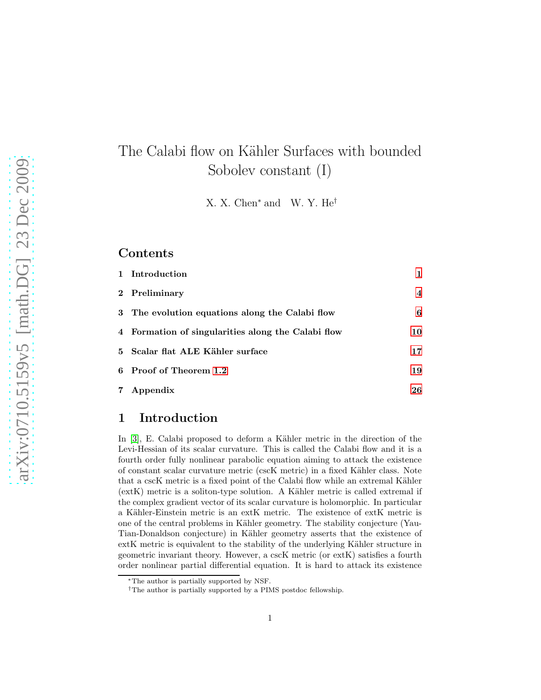# The Calabi flow on Kähler Surfaces with bounded Sobolev constant (I)

X. X. Chen<sup>∗</sup> and W. Y. He†

#### **Contents**

| 1 Introduction                                     | 1              |
|----------------------------------------------------|----------------|
| 2 Preliminary                                      | $\overline{4}$ |
| 3 The evolution equations along the Calabi flow    | 6              |
| 4 Formation of singularities along the Calabi flow | 10             |
| 5 Scalar flat ALE Kähler surface                   | 17             |
| 6 Proof of Theorem 1.2                             | 19             |
| 7 Appendix                                         | 26             |

## <span id="page-0-0"></span>1 Introduction

In [\[3\]](#page-27-0), E. Calabi proposed to deform a Kähler metric in the direction of the Levi-Hessian of its scalar curvature. This is called the Calabi flow and it is a fourth order fully nonlinear parabolic equation aiming to attack the existence of constant scalar curvature metric (cscK metric) in a fixed Kähler class. Note that a cscK metric is a fixed point of the Calabi flow while an extremal Kähler  $(extK)$  metric is a soliton-type solution. A Kähler metric is called extremal if the complex gradient vector of its scalar curvature is holomorphic. In particular a Kähler-Einstein metric is an extK metric. The existence of extK metric is one of the central problems in Kähler geometry. The stability conjecture (Yau-Tian-Donaldson conjecture) in Kähler geometry asserts that the existence of extK metric is equivalent to the stability of the underlying Kähler structure in geometric invariant theory. However, a cscK metric (or extK) satisfies a fourth order nonlinear partial differential equation. It is hard to attack its existence

<sup>∗</sup>The author is partially supported by NSF.

<sup>†</sup>The author is partially supported by a PIMS postdoc fellowship.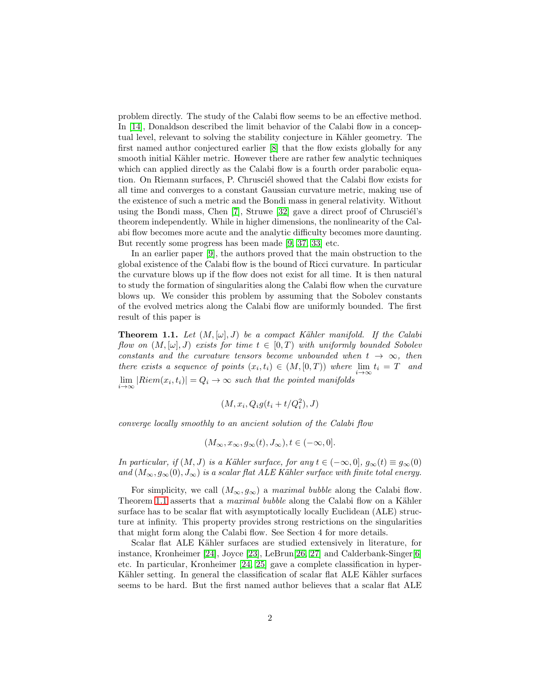problem directly. The study of the Calabi flow seems to be an effective method. In [\[14\]](#page-28-0), Donaldson described the limit behavior of the Calabi flow in a conceptual level, relevant to solving the stability conjecture in Kähler geometry. The first named author conjectured earlier [\[8\]](#page-27-1) that the flow exists globally for any smooth initial Kähler metric. However there are rather few analytic techniques which can applied directly as the Calabi flow is a fourth order parabolic equation. On Riemann surfaces, P. Chrusciél showed that the Calabi flow exists for all time and converges to a constant Gaussian curvature metric, making use of the existence of such a metric and the Bondi mass in general relativity. Without using the Bondi mass, Chen  $[7]$ , Struwe  $[32]$  gave a direct proof of Chrusciél's theorem independently. While in higher dimensions, the nonlinearity of the Calabi flow becomes more acute and the analytic difficulty becomes more daunting. But recently some progress has been made [\[9,](#page-27-3) [37,](#page-29-1) [33\]](#page-29-2) etc.

In an earlier paper [\[9\]](#page-27-3), the authors proved that the main obstruction to the global existence of the Calabi flow is the bound of Ricci curvature. In particular the curvature blows up if the flow does not exist for all time. It is then natural to study the formation of singularities along the Calabi flow when the curvature blows up. We consider this problem by assuming that the Sobolev constants of the evolved metrics along the Calabi flow are uniformly bounded. The first result of this paper is

<span id="page-1-0"></span>**Theorem 1.1.** Let  $(M, [\omega], J)$  be a compact Kähler manifold. If the Calabi flow on  $(M, [\omega], J)$  exists for time  $t \in [0, T)$  with uniformly bounded Sobolev constants and the curvature tensors become unbounded when  $t \to \infty$ , then there exists a sequence of points  $(x_i, t_i) \in (M, [0, T))$  where  $\lim_{i \to \infty} t_i = T$  and  $\lim_{i \to \infty} |Riem(x_i, t_i)| = Q_i \to \infty$  such that the pointed manifolds

$$
(M, x_i, Q_i g(t_i + t/Q_i^2), J)
$$

converge locally smoothly to an ancient solution of the Calabi flow

$$
(M_{\infty}, x_{\infty}, g_{\infty}(t), J_{\infty}), t \in (-\infty, 0].
$$

In particular, if  $(M, J)$  is a Kähler surface, for any  $t \in (-\infty, 0], g_{\infty}(t) \equiv g_{\infty}(0)$ and  $(M_{\infty}, g_{\infty}(0), J_{\infty})$  is a scalar flat ALE Kähler surface with finite total energy.

For simplicity, we call  $(M_{\infty}, g_{\infty})$  a maximal bubble along the Calabi flow. Theorem [1.1](#page-1-0) asserts that a *maximal bubble* along the Calabi flow on a Kähler surface has to be scalar flat with asymptotically locally Euclidean (ALE) structure at infinity. This property provides strong restrictions on the singularities that might form along the Calabi flow. See Section 4 for more details.

Scalar flat ALE Kähler surfaces are studied extensively in literature, for instance, Kronheimer [\[24\]](#page-28-1), Joyce [\[23\]](#page-28-2), LeBrun[\[26,](#page-28-3) [27\]](#page-28-4) and Calderbank-Singer[\[6\]](#page-27-4) etc. In particular, Kronheimer [\[24,](#page-28-1) [25\]](#page-28-5) gave a complete classification in hyper-Kähler setting. In general the classification of scalar flat ALE Kähler surfaces seems to be hard. But the first named author believes that a scalar flat ALE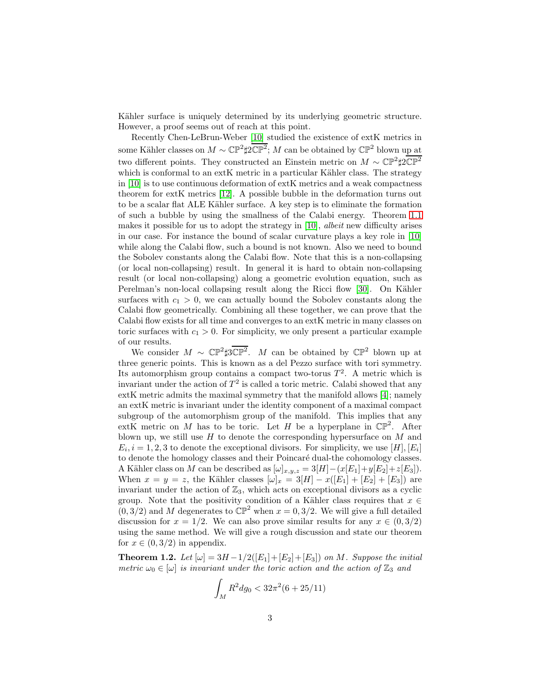Kähler surface is uniquely determined by its underlying geometric structure. However, a proof seems out of reach at this point.

Recently Chen-LeBrun-Weber [\[10\]](#page-27-5) studied the existence of extK metrics in some Kähler classes on  $M \sim \mathbb{CP}^2 \sharp 2\mathbb{CP}^2$ ; M can be obtained by  $\mathbb{CP}^2$  blown up at two different points. They constructed an Einstein metric on  $M \sim \mathbb{CP}^2 \sharp 2\mathbb{CP}^2$ which is conformal to an extK metric in a particular Kähler class. The strategy in [\[10\]](#page-27-5) is to use continuous deformation of extK metrics and a weak compactness theorem for extK metrics [\[12\]](#page-27-6). A possible bubble in the deformation turns out to be a scalar flat ALE Kähler surface. A key step is to eliminate the formation of such a bubble by using the smallness of the Calabi energy. Theorem [1.1](#page-1-0) makes it possible for us to adopt the strategy in  $[10]$ , albeit new difficulty arises in our case. For instance the bound of scalar curvature plays a key role in [\[10\]](#page-27-5) while along the Calabi flow, such a bound is not known. Also we need to bound the Sobolev constants along the Calabi flow. Note that this is a non-collapsing (or local non-collapsing) result. In general it is hard to obtain non-collapsing result (or local non-collapsing) along a geometric evolution equation, such as Perelman's non-local collapsing result along the Ricci flow [\[30\]](#page-28-6). On Kähler surfaces with  $c_1 > 0$ , we can actually bound the Sobolev constants along the Calabi flow geometrically. Combining all these together, we can prove that the Calabi flow exists for all time and converges to an extK metric in many classes on toric surfaces with  $c_1 > 0$ . For simplicity, we only present a particular example of our results.

We consider  $M \sim \mathbb{CP}^2 \sharp 3\mathbb{CP}^2$ . M can be obtained by  $\mathbb{CP}^2$  blown up at three generic points. This is known as a del Pezzo surface with tori symmetry. Its automorphism group contains a compact two-torus  $T^2$ . A metric which is invariant under the action of  $T^2$  is called a toric metric. Calabi showed that any extK metric admits the maximal symmetry that the manifold allows [\[4\]](#page-27-7); namely an extK metric is invariant under the identity component of a maximal compact subgroup of the automorphism group of the manifold. This implies that any extK metric on M has to be toric. Let H be a hyperplane in  $\mathbb{CP}^2$ . After blown up, we still use  $H$  to denote the corresponding hypersurface on  $M$  and  $E_i, i = 1, 2, 3$  to denote the exceptional divisors. For simplicity, we use [H], [E<sub>i</sub>] to denote the homology classes and their Poincaré dual-the cohomology classes. A Kähler class on M can be described as  $[\omega]_{x,y,z} = 3[H] - (x[E_1] + y[E_2] + z[E_3]).$ When  $x = y = z$ , the Kähler classes  $[\omega]_x = 3[H] - x([E_1] + [E_2] + [E_3])$  are invariant under the action of  $\mathbb{Z}_3$ , which acts on exceptional divisors as a cyclic group. Note that the positivity condition of a Kähler class requires that  $x \in$  $(0, 3/2)$  and M degenerates to  $\mathbb{CP}^2$  when  $x = 0, 3/2$ . We will give a full detailed discussion for  $x = 1/2$ . We can also prove similar results for any  $x \in (0, 3/2)$ using the same method. We will give a rough discussion and state our theorem for  $x \in (0, 3/2)$  in appendix.

<span id="page-2-0"></span>**Theorem 1.2.** Let  $[\omega] = 3H - 1/2([E_1] + [E_2] + [E_3])$  on M. Suppose the initial metric  $\omega_0 \in [\omega]$  is invariant under the toric action and the action of  $\mathbb{Z}_3$  and

$$
\int_M R^2 dg_0 < 32\pi^2 (6 + 25/11)
$$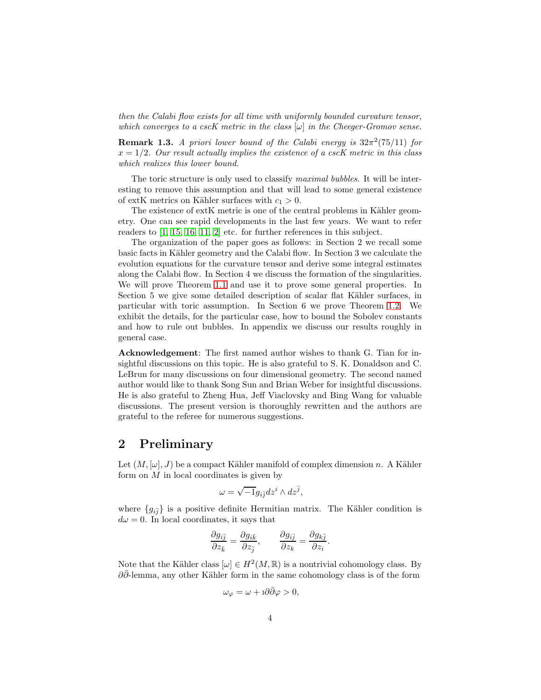then the Calabi flow exists for all time with uniformly bounded curvature tensor, which converges to a cscK metric in the class  $[\omega]$  in the Cheeger-Gromov sense.

**Remark 1.3.** A priori lower bound of the Calabi energy is  $32\pi^2(75/11)$  for  $x = 1/2$ . Our result actually implies the existence of a cscK metric in this class which realizes this lower bound.

The toric structure is only used to classify *maximal bubbles*. It will be interesting to remove this assumption and that will lead to some general existence of extK metrics on Kähler surfaces with  $c_1 > 0$ .

The existence of extK metric is one of the central problems in Kähler geometry. One can see rapid developments in the last few years. We want to refer readers to [\[1,](#page-27-8) [15,](#page-28-7) [16,](#page-28-8) [11,](#page-27-9) [2\]](#page-27-10) etc. for further references in this subject.

The organization of the paper goes as follows: in Section 2 we recall some basic facts in Kähler geometry and the Calabi flow. In Section 3 we calculate the evolution equations for the curvature tensor and derive some integral estimates along the Calabi flow. In Section 4 we discuss the formation of the singularities. We will prove Theorem [1.1](#page-1-0) and use it to prove some general properties. In Section 5 we give some detailed description of scalar flat Kähler surfaces, in particular with toric assumption. In Section 6 we prove Theorem [1.2.](#page-2-0) We exhibit the details, for the particular case, how to bound the Sobolev constants and how to rule out bubbles. In appendix we discuss our results roughly in general case.

Acknowledgement: The first named author wishes to thank G. Tian for insightful discussions on this topic. He is also grateful to S. K. Donaldson and C. LeBrun for many discussions on four dimensional geometry. The second named author would like to thank Song Sun and Brian Weber for insightful discussions. He is also grateful to Zheng Hua, Jeff Viaclovsky and Bing Wang for valuable discussions. The present version is thoroughly rewritten and the authors are grateful to the referee for numerous suggestions.

# <span id="page-3-0"></span>2 Preliminary

Let  $(M, [\omega], J)$  be a compact Kähler manifold of complex dimension n. A Kähler form on  $M$  in local coordinates is given by

$$
\omega=\sqrt{-1}g_{i\bar{j}}dz^i\wedge dz^{\bar{j}},
$$

where  ${g_{i\bar{j}}}$  is a positive definite Hermitian matrix. The Kähler condition is  $d\omega = 0$ . In local coordinates, it says that

$$
\frac{\partial g_{i\bar{j}}}{\partial z_{\bar{k}}} = \frac{\partial g_{i\bar{k}}}{\partial z_{\bar{j}}}, \qquad \frac{\partial g_{i\bar{j}}}{\partial z_k} = \frac{\partial g_{k\bar{j}}}{\partial z_i}.
$$

Note that the Kähler class  $[\omega] \in H^2(M, \mathbb{R})$  is a nontrivial cohomology class. By  $\partial \partial$ -lemma, any other Kähler form in the same cohomology class is of the form

$$
\omega_{\varphi} = \omega + i\partial\bar{\partial}\varphi > 0,
$$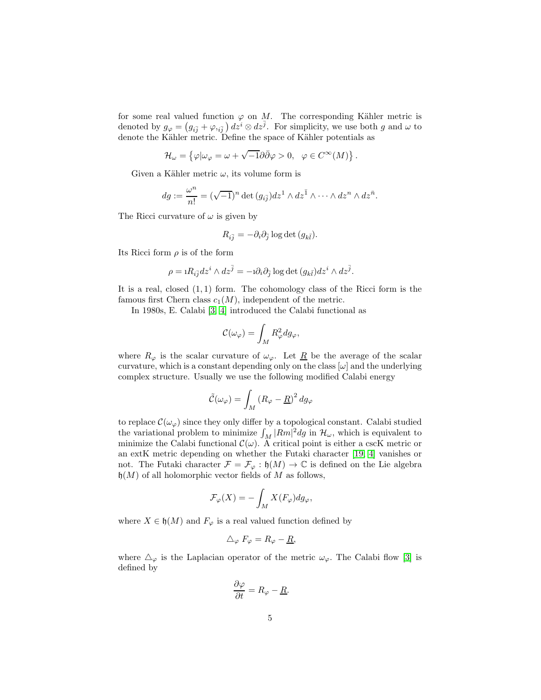for some real valued function  $\varphi$  on M. The corresponding Kähler metric is denoted by  $g_{\varphi} = (g_{i\bar{j}} + \varphi_{i\bar{j}}) dz^i \otimes dz^{\bar{j}}$ . For simplicity, we use both g and  $\omega$  to denote the Kähler metric. Define the space of Kähler potentials as

$$
\mathcal{H}_{\omega} = \left\{ \varphi | \omega_{\varphi} = \omega + \sqrt{-1} \partial \bar{\partial} \varphi > 0, \ \varphi \in C^{\infty}(M) \right\}.
$$

Given a Kähler metric  $\omega$ , its volume form is

$$
dg := \frac{\omega^n}{n!} = (\sqrt{-1})^n \det (g_{i\bar{j}}) dz^1 \wedge dz^{\bar{1}} \wedge \cdots \wedge dz^n \wedge dz^{\bar{n}}.
$$

The Ricci curvature of  $\omega$  is given by

$$
R_{i\bar{j}}=-\partial_i\partial_{\bar{j}}\log\det\, (g_{k\bar{l}}).
$$

Its Ricci form  $\rho$  is of the form

$$
\rho = 1 R_{i\bar{j}} dz^i \wedge dz^{\bar{j}} = -1 \partial_i \partial_{\bar{j}} \log \det (g_{k\bar{l}}) dz^i \wedge dz^{\bar{j}}.
$$

It is a real, closed  $(1,1)$  form. The cohomology class of the Ricci form is the famous first Chern class  $c_1(M)$ , independent of the metric.

In 1980s, E. Calabi [\[3,](#page-27-0) [4\]](#page-27-7) introduced the Calabi functional as

$$
\mathcal{C}(\omega_{\varphi}) = \int_M R_{\varphi}^2 dg_{\varphi},
$$

where  $R_{\varphi}$  is the scalar curvature of  $\omega_{\varphi}$ . Let  $\underline{R}$  be the average of the scalar curvature, which is a constant depending only on the class  $[\omega]$  and the underlying complex structure. Usually we use the following modified Calabi energy

$$
\tilde{\mathcal{C}}(\omega_{\varphi}) = \int_M \left( R_{\varphi} - \underline{R} \right)^2 dg_{\varphi}
$$

to replace  $\mathcal{C}(\omega_{\varphi})$  since they only differ by a topological constant. Calabi studied the variational problem to minimize  $\int_M |Rm|^2 dg$  in  $\mathcal{H}_{\omega}$ , which is equivalent to minimize the Calabi functional  $\mathcal{C}(\omega)$ . A critical point is either a cscK metric or an extK metric depending on whether the Futaki character [\[19,](#page-28-9) [4\]](#page-27-7) vanishes or not. The Futaki character  $\mathcal{F} = \mathcal{F}_{\varphi} : \mathfrak{h}(M) \to \mathbb{C}$  is defined on the Lie algebra  $\mathfrak{h}(M)$  of all holomorphic vector fields of M as follows,

$$
\mathcal{F}_{\varphi}(X) = -\int_{M} X(F_{\varphi}) dg_{\varphi},
$$

where  $X \in \mathfrak{h}(M)$  and  $F_{\varphi}$  is a real valued function defined by

$$
\triangle_{\varphi} F_{\varphi} = R_{\varphi} - \underline{R},
$$

where  $\Delta_{\varphi}$  is the Laplacian operator of the metric  $\omega_{\varphi}$ . The Calabi flow [\[3\]](#page-27-0) is defined by

$$
\frac{\partial \varphi}{\partial t} = R_{\varphi} - \underline{R}.
$$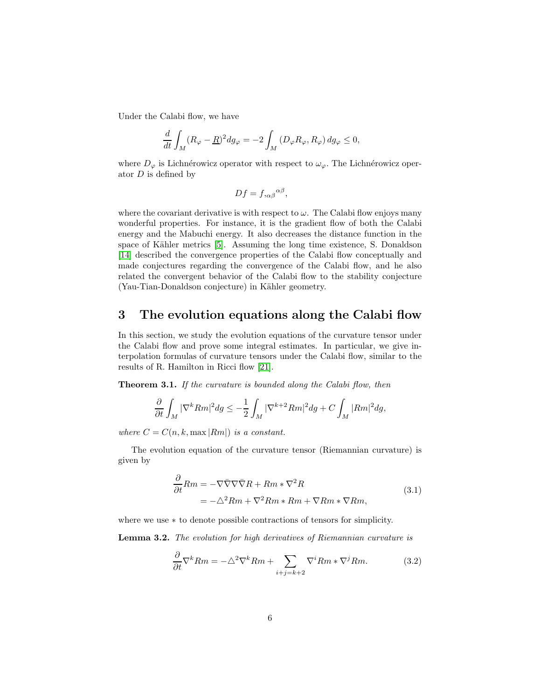Under the Calabi flow, we have

$$
\frac{d}{dt} \int_M (R_{\varphi} - \underline{R})^2 dg_{\varphi} = -2 \int_M (D_{\varphi} R_{\varphi}, R_{\varphi}) dg_{\varphi} \le 0,
$$

where  $D_{\varphi}$  is Lichnérowicz operator with respect to  $\omega_{\varphi}$ . The Lichnérowicz operator  $D$  is defined by

$$
Df = f_{,\alpha\beta}{}^{\alpha\beta},
$$

where the covariant derivative is with respect to  $\omega$ . The Calabi flow enjoys many wonderful properties. For instance, it is the gradient flow of both the Calabi energy and the Mabuchi energy. It also decreases the distance function in the space of Kähler metrics [\[5\]](#page-27-11). Assuming the long time existence, S. Donaldson [\[14\]](#page-28-0) described the convergence properties of the Calabi flow conceptually and made conjectures regarding the convergence of the Calabi flow, and he also related the convergent behavior of the Calabi flow to the stability conjecture (Yau-Tian-Donaldson conjecture) in Kähler geometry.

# <span id="page-5-0"></span>3 The evolution equations along the Calabi flow

In this section, we study the evolution equations of the curvature tensor under the Calabi flow and prove some integral estimates. In particular, we give interpolation formulas of curvature tensors under the Calabi flow, similar to the results of R. Hamilton in Ricci flow [\[21\]](#page-28-10).

<span id="page-5-3"></span>**Theorem 3.1.** If the curvature is bounded along the Calabi flow, then

$$
\frac{\partial}{\partial t} \int_M |\nabla^k Rm|^2 dg \le -\frac{1}{2} \int_M |\nabla^{k+2} Rm|^2 dg + C \int_M |Rm|^2 dg,
$$

where  $C = C(n, k, \text{max} |Rm|)$  is a constant.

The evolution equation of the curvature tensor (Riemannian curvature) is given by

$$
\frac{\partial}{\partial t}Rm = -\nabla\bar{\nabla}\nabla\bar{\nabla}R + Rm * \nabla^2 R
$$
\n
$$
= -\Delta^2 Rm + \nabla^2 Rm * Rm + \nabla Rm * \nabla Rm,
$$
\n(3.1)

<span id="page-5-1"></span>where we use ∗ to denote possible contractions of tensors for simplicity.

Lemma 3.2. The evolution for high derivatives of Riemannian curvature is

<span id="page-5-2"></span>
$$
\frac{\partial}{\partial t} \nabla^k R m = -\Delta^2 \nabla^k R m + \sum_{i+j=k+2} \nabla^i R m * \nabla^j R m.
$$
 (3.2)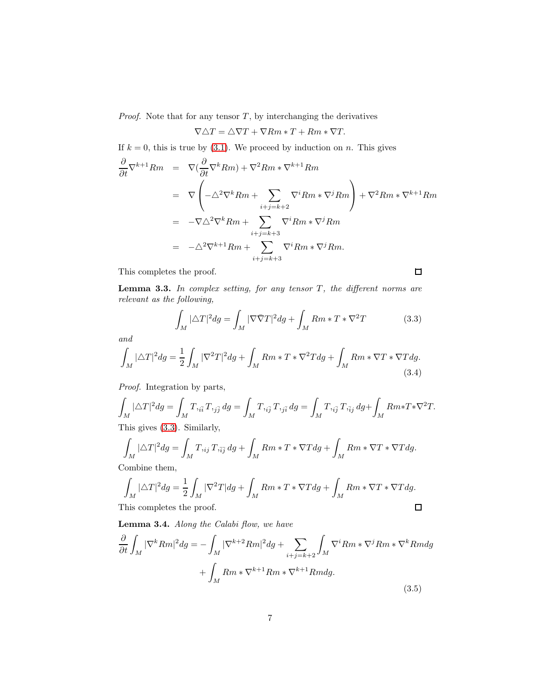*Proof.* Note that for any tensor  $T$ , by interchanging the derivatives

$$
\nabla \Delta T = \Delta \nabla T + \nabla Rm * T + Rm * \nabla T.
$$

If  $k = 0$ , this is true by [\(3.1\)](#page-5-1). We proceed by induction on n. This gives

$$
\frac{\partial}{\partial t} \nabla^{k+1} Rm = \nabla \left( \frac{\partial}{\partial t} \nabla^k Rm \right) + \nabla^2 Rm * \nabla^{k+1} Rm
$$
\n
$$
= \nabla \left( -\Delta^2 \nabla^k Rm + \sum_{i+j=k+2} \nabla^i Rm * \nabla^j Rm \right) + \nabla^2 Rm * \nabla^{k+1} Rm
$$
\n
$$
= -\nabla \Delta^2 \nabla^k Rm + \sum_{i+j=k+3} \nabla^i Rm * \nabla^j Rm
$$
\n
$$
= -\Delta^2 \nabla^{k+1} Rm + \sum_{i+j=k+3} \nabla^i Rm * \nabla^j Rm.
$$

This completes the proof.

**Lemma 3.3.** In complex setting, for any tensor  $T$ , the different norms are relevant as the following,

<span id="page-6-0"></span>
$$
\int_{M} |\Delta T|^2 dg = \int_{M} |\nabla \bar{\nabla} T|^2 dg + \int_{M} Rm * T * \nabla^2 T \tag{3.3}
$$

 $\Box$ 

and

$$
\int_{M} |\Delta T|^2 dg = \frac{1}{2} \int_{M} |\nabla^2 T|^2 dg + \int_{M} Rm * T * \nabla^2 T dg + \int_{M} Rm * \nabla T * \nabla T dg.
$$
\n(3.4)

Proof. Integration by parts,

$$
\int_M |\Delta T|^2 dg = \int_M T_{\tilde{i_1}\tilde{j_1}} T_{\tilde{j_2}\tilde{j_2}} dg = \int_M T_{\tilde{i_1}\tilde{j_1}} T_{\tilde{j_2}\tilde{i_2}} dg = \int_M T_{\tilde{i_1}\tilde{j_1}} T_{\tilde{i_1}\tilde{j_2}} dg + \int_M Rm*T*\nabla^2 T.
$$
  
This gives (3.3) Similarly

This gives [\(3.3\)](#page-6-0). Similarly,

$$
\int_M |\Delta T|^2 dg = \int_M T_{\iota ij} T_{\iota \bar{i} \bar{j}} dg + \int_M Rm * T * \nabla T dg + \int_M Rm * \nabla T * \nabla T dg.
$$
\nCombine them

Combine them,

$$
\int_M |\Delta T|^2 dg = \frac{1}{2} \int_M |\nabla^2 T| dg + \int_M Rm * T * \nabla T dg + \int_M Rm * \nabla T * \nabla T dg.
$$
\nThis completes the proof

This completes the proof.

Lemma 3.4. Along the Calabi flow, we have

$$
\frac{\partial}{\partial t} \int_{M} |\nabla^{k} Rm|^{2} dg = - \int_{M} |\nabla^{k+2} Rm|^{2} dg + \sum_{i+j=k+2} \int_{M} \nabla^{i} Rm * \nabla^{j} Rm * \nabla^{k} Rmdg
$$

$$
+ \int_{M} Rm * \nabla^{k+1} Rm * \nabla^{k+1} Rmdg. \tag{3.5}
$$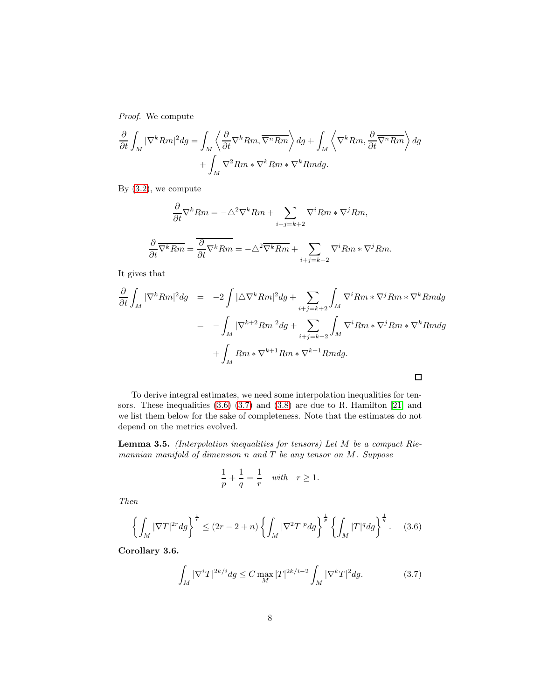Proof. We compute

$$
\frac{\partial}{\partial t} \int_M |\nabla^k Rm|^2 dg = \int_M \left\langle \frac{\partial}{\partial t} \nabla^k Rm, \overline{\nabla^n Rm} \right\rangle dg + \int_M \left\langle \nabla^k Rm, \frac{\partial}{\partial t} \overline{\nabla^n Rm} \right\rangle dg + \int_M \nabla^2 Rm * \nabla^k Rm * \nabla^k Rm dg.
$$

By [\(3.2\)](#page-5-2), we compute

$$
\frac{\partial}{\partial t} \nabla^k Rm = -\Delta^2 \nabla^k Rm + \sum_{i+j=k+2} \nabla^i Rm * \nabla^j Rm,
$$
  

$$
\frac{\partial}{\partial t} \overline{\nabla^k Rm} = \overline{\frac{\partial}{\partial t} \nabla^k Rm} = -\Delta^2 \overline{\nabla^k Rm} + \sum_{i+j=k+2} \nabla^i Rm * \nabla^j Rm.
$$

It gives that

$$
\frac{\partial}{\partial t} \int_M |\nabla^k Rm|^2 dg = -2 \int |\triangle \nabla^k Rm|^2 dg + \sum_{i+j=k+2} \int_M \nabla^i Rm * \nabla^j Rm * \nabla^k Rm dg
$$
  

$$
= - \int_M |\nabla^{k+2} Rm|^2 dg + \sum_{i+j=k+2} \int_M \nabla^i Rm * \nabla^j Rm * \nabla^k Rm dg
$$
  

$$
+ \int_M Rm * \nabla^{k+1} Rm * \nabla^{k+1} Rm dg.
$$

To derive integral estimates, we need some interpolation inequalities for tensors. These inequalities [\(3.6\)](#page-7-0) [\(3.7\)](#page-7-1) and [\(3.8\)](#page-8-0) are due to R. Hamilton [\[21\]](#page-28-10) and we list them below for the sake of completeness. Note that the estimates do not depend on the metrics evolved.

**Lemma 3.5.** (Interpolation inequalities for tensors) Let  $M$  be a compact Riemannian manifold of dimension  $n$  and  $T$  be any tensor on  $M$ . Suppose

$$
\frac{1}{p} + \frac{1}{q} = \frac{1}{r} \quad with \quad r \ge 1.
$$

Then

<span id="page-7-0"></span>
$$
\left\{\int_M |\nabla T|^{2r} dg\right\}^{\frac{1}{r}} \le (2r - 2 + n) \left\{\int_M |\nabla^2 T|^p dg\right\}^{\frac{1}{p}} \left\{\int_M |T|^q dg\right\}^{\frac{1}{q}}.\tag{3.6}
$$

Corollary 3.6.

<span id="page-7-1"></span>
$$
\int_M |\nabla^i T|^{2k/i} dg \le C \max_M |T|^{2k/i-2} \int_M |\nabla^k T|^2 dg. \tag{3.7}
$$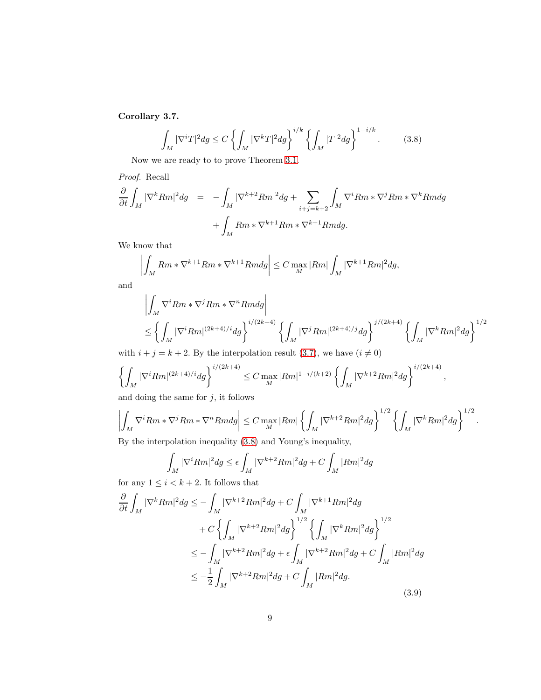Corollary 3.7.

<span id="page-8-0"></span>
$$
\int_M |\nabla^i T|^2 dg \le C \left\{ \int_M |\nabla^k T|^2 dg \right\}^{i/k} \left\{ \int_M |T|^2 dg \right\}^{1-i/k}.
$$
 (3.8)

Now we are ready to to prove Theorem [3.1.](#page-5-3)

Proof. Recall

$$
\frac{\partial}{\partial t} \int_M |\nabla^k Rm|^2 dg = - \int_M |\nabla^{k+2} Rm|^2 dg + \sum_{i+j=k+2} \int_M \nabla^i Rm * \nabla^j Rm * \nabla^k Rm dg
$$

$$
+ \int_M Rm * \nabla^{k+1} Rm * \nabla^{k+1} Rm dg.
$$

We know that

$$
\left| \int_M Rm * \nabla^{k+1} Rm * \nabla^{k+1} Rmdg \right| \leq C \max_M |Rm| \int_M |\nabla^{k+1} Rm|^2 dg,
$$

and

$$
\left| \int_M \nabla^i Rm * \nabla^j Rm * \nabla^n Rm dg \right|
$$
  
\n
$$
\leq \left\{ \int_M |\nabla^i Rm|^{(2k+4)/i} dg \right\}^{i/(2k+4)} \left\{ \int_M |\nabla^j Rm|^{(2k+4)/j} dg \right\}^{j/(2k+4)} \left\{ \int_M |\nabla^k Rm|^2 dg \right\}^{1/2}
$$

with  $i + j = k + 2$ . By the interpolation result [\(3.7\)](#page-7-1), we have  $(i \neq 0)$ 

$$
\left\{ \int_M |\nabla^i Rm|^{(2k+4)/i} dg \right\}^{i/(2k+4)} \leq C \max_M |Rm|^{1-i/(k+2)} \left\{ \int_M |\nabla^{k+2} Rm|^2 dg \right\}^{i/(2k+4)},
$$

and doing the same for  $j$ , it follows

$$
\left| \int_M \nabla^i Rm * \nabla^j Rm * \nabla^n Rmdg \right| \le C \max_M |Rm| \left\{ \int_M |\nabla^{k+2} Rm|^2 dg \right\}^{1/2} \left\{ \int_M |\nabla^k Rm|^2 dg \right\}^{1/2}.
$$
  
Put the interpolation inequality (2.8) and Young's inequality

By the interpolation inequality [\(3.8\)](#page-8-0) and Young's inequality,

$$
\int_{M} |\nabla^{i}Rm|^{2} dg \leq \epsilon \int_{M} |\nabla^{k+2}Rm|^{2} dg + C \int_{M} |Rm|^{2} dg
$$

for any  $1 \leq i < k+2$ . It follows that

$$
\frac{\partial}{\partial t} \int_{M} |\nabla^{k} Rm|^{2} dg \leq -\int_{M} |\nabla^{k+2} Rm|^{2} dg + C \int_{M} |\nabla^{k+1} Rm|^{2} dg \n+ C \left\{ \int_{M} |\nabla^{k+2} Rm|^{2} dg \right\}^{1/2} \left\{ \int_{M} |\nabla^{k} Rm|^{2} dg \right\}^{1/2} \n\leq -\int_{M} |\nabla^{k+2} Rm|^{2} dg + \epsilon \int_{M} |\nabla^{k+2} Rm|^{2} dg + C \int_{M} |Rm|^{2} dg \n\leq -\frac{1}{2} \int_{M} |\nabla^{k+2} Rm|^{2} dg + C \int_{M} |Rm|^{2} dg.
$$
\n(3.9)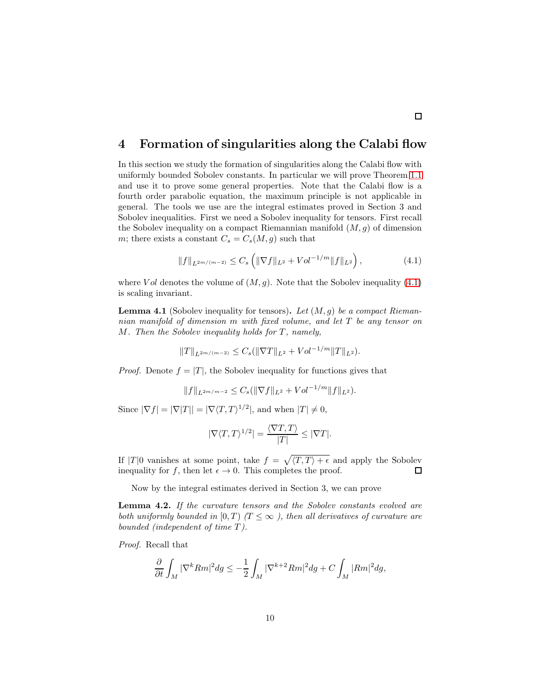#### <span id="page-9-0"></span>4 Formation of singularities along the Calabi flow

In this section we study the formation of singularities along the Calabi flow with uniformly bounded Sobolev constants. In particular we will prove Theorem [1.1](#page-1-0) and use it to prove some general properties. Note that the Calabi flow is a fourth order parabolic equation, the maximum principle is not applicable in general. The tools we use are the integral estimates proved in Section 3 and Sobolev inequalities. First we need a Sobolev inequality for tensors. First recall the Sobolev inequality on a compact Riemannian manifold  $(M, g)$  of dimension m; there exists a constant  $C_s = C_s(M, g)$  such that

<span id="page-9-1"></span>
$$
||f||_{L^{2m/(m-2)}} \leq C_s \left( \|\nabla f\|_{L^2} + Vol^{-1/m} ||f||_{L^2} \right), \tag{4.1}
$$

 $\Box$ 

where V ol denotes the volume of  $(M, g)$ . Note that the Sobolev inequality [\(4.1\)](#page-9-1) is scaling invariant.

<span id="page-9-3"></span>**Lemma 4.1** (Sobolev inequality for tensors). Let  $(M, g)$  be a compact Riemannian manifold of dimension m with fixed volume, and let T be any tensor on  $M.$  Then the Sobolev inequality holds for T, namely,

$$
||T||_{L^{2m/(m-2)}} \leq C_s (||\nabla T||_{L^2} + Vol^{-1/m} ||T||_{L^2}).
$$

*Proof.* Denote  $f = |T|$ , the Sobolev inequality for functions gives that

$$
||f||_{L^{2m/m-2}} \leq C_s(||\nabla f||_{L^2} + Vol^{-1/m}||f||_{L^2}).
$$

Since  $|\nabla f| = |\nabla |T|| = |\nabla \langle T, T \rangle^{1/2}|$ , and when  $|T| \neq 0$ ,

$$
|\nabla \langle T, T \rangle^{1/2}| = \frac{\langle \nabla T, T \rangle}{|T|} \le |\nabla T|.
$$

If  $|T|0$  vanishes at some point, take  $f = \sqrt{\langle T, T \rangle + \epsilon}$  and apply the Sobolev inequality for f, then let  $\epsilon \to 0$ . This completes the proof.

Now by the integral estimates derived in Section 3, we can prove

<span id="page-9-2"></span>Lemma 4.2. If the curvature tensors and the Sobolev constants evolved are both uniformly bounded in [0, T]  $(T \leq \infty)$ , then all derivatives of curvature are bounded (independent of time T ).

Proof. Recall that

$$
\frac{\partial}{\partial t}\int_M|\nabla^kRm|^2dg\leq-\frac{1}{2}\int_M|\nabla^{k+2}Rm|^2dg+C\int_M|Rm|^2dg,
$$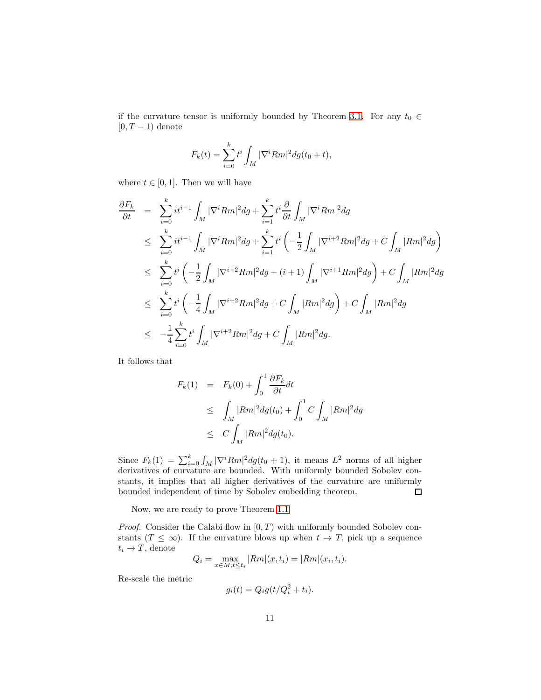if the curvature tensor is uniformly bounded by Theorem [3.1.](#page-5-3) For any  $t_0 \in$  $[0, T-1)$  denote

$$
F_k(t) = \sum_{i=0}^{k} t^i \int_M |\nabla^i Rm|^2 dg(t_0 + t),
$$

where  $t \in [0, 1]$ . Then we will have

$$
\frac{\partial F_k}{\partial t} = \sum_{i=0}^k i t^{i-1} \int_M |\nabla^i Rm|^2 dg + \sum_{i=1}^k t^i \frac{\partial}{\partial t} \int_M |\nabla^i Rm|^2 dg \n\leq \sum_{i=0}^k i t^{i-1} \int_M |\nabla^i Rm|^2 dg + \sum_{i=1}^k t^i \left( -\frac{1}{2} \int_M |\nabla^{i+2} Rm|^2 dg + C \int_M |Rm|^2 dg \right) \n\leq \sum_{i=0}^k t^i \left( -\frac{1}{2} \int_M |\nabla^{i+2} Rm|^2 dg + (i+1) \int_M |\nabla^{i+1} Rm|^2 dg \right) + C \int_M |Rm|^2 dg \n\leq \sum_{i=0}^k t^i \left( -\frac{1}{4} \int_M |\nabla^{i+2} Rm|^2 dg + C \int_M |Rm|^2 dg \right) + C \int_M |Rm|^2 dg \n\leq -\frac{1}{4} \sum_{i=0}^k t^i \int_M |\nabla^{i+2} Rm|^2 dg + C \int_M |Rm|^2 dg.
$$

It follows that

$$
F_k(1) = F_k(0) + \int_0^1 \frac{\partial F_k}{\partial t} dt
$$
  
\n
$$
\leq \int_M |Rm|^2 dg(t_0) + \int_0^1 C \int_M |Rm|^2 dg
$$
  
\n
$$
\leq C \int_M |Rm|^2 dg(t_0).
$$

Since  $F_k(1) = \sum_{i=0}^k \int_M |\nabla^i Rm|^2 dg(t_0+1)$ , it means  $L^2$  norms of all higher derivatives of curvature are bounded. With uniformly bounded Sobolev constants, it implies that all higher derivatives of the curvature are uniformly bounded independent of time by Sobolev embedding theorem.  $\Box$ 

Now, we are ready to prove Theorem [1.1](#page-1-0)

*Proof.* Consider the Calabi flow in  $[0, T)$  with uniformly bounded Sobolev constants  $(T \leq \infty)$ . If the curvature blows up when  $t \to T$ , pick up a sequence  $t_i \rightarrow T$ , denote

$$
Q_i = \max_{x \in M, t \le t_i} |Rm|(x, t_i) = |Rm|(x_i, t_i).
$$

Re-scale the metric

$$
g_i(t) = Q_i g(t/Q_i^2 + t_i).
$$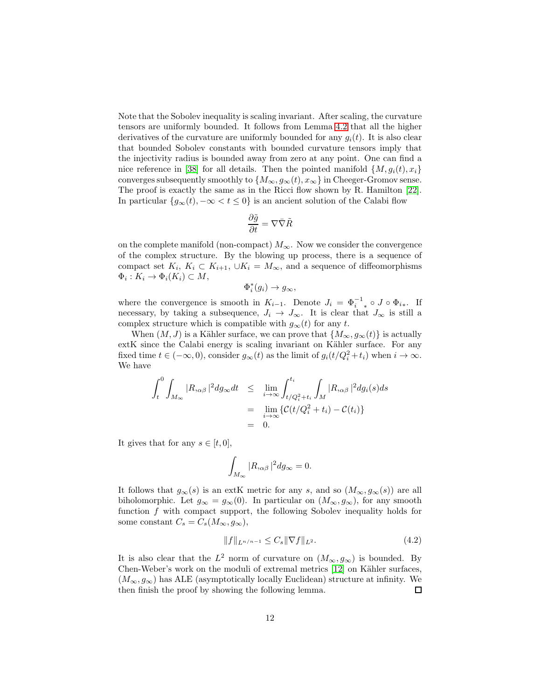Note that the Sobolev inequality is scaling invariant. After scaling, the curvature tensors are uniformly bounded. It follows from Lemma [4.2](#page-9-2) that all the higher derivatives of the curvature are uniformly bounded for any  $g_i(t)$ . It is also clear that bounded Sobolev constants with bounded curvature tensors imply that the injectivity radius is bounded away from zero at any point. One can find a nice reference in [\[38\]](#page-29-3) for all details. Then the pointed manifold  $\{M, g_i(t), x_i\}$ converges subsequently smoothly to  $\{M_{\infty}, g_{\infty}(t), x_{\infty}\}\$  in Cheeger-Gromov sense. The proof is exactly the same as in the Ricci flow shown by R. Hamilton [\[22\]](#page-28-11). In particular  ${g_{\infty}(t), -\infty < t \leq 0}$  is an ancient solution of the Calabi flow

$$
\frac{\partial \tilde{g}}{\partial t} = \nabla \bar{\nabla} \tilde{R}
$$

on the complete manifold (non-compact)  $M_{\infty}$ . Now we consider the convergence of the complex structure. By the blowing up process, there is a sequence of compact set  $K_i$ ,  $K_i \subset K_{i+1}$ ,  $\cup K_i = M_{\infty}$ , and a sequence of diffeomorphisms  $\Phi_i: K_i \to \Phi_i(K_i) \subset M,$ 

$$
\Phi_i^*(g_i)\to g_\infty,
$$

where the convergence is smooth in  $K_{i-1}$ . Denote  $J_i = \Phi_{i,*}^{-1} \circ J \circ \Phi_{i,*}$ . If necessary, by taking a subsequence,  $J_i \rightarrow J_{\infty}$ . It is clear that  $J_{\infty}$  is still a complex structure which is compatible with  $g_{\infty}(t)$  for any t.

When  $(M, J)$  is a Kähler surface, we can prove that  ${M_{\infty}, g_{\infty}(t)}$  is actually extK since the Calabi energy is scaling invariant on Kähler surface. For any fixed time  $t \in (-\infty, 0)$ , consider  $g_{\infty}(t)$  as the limit of  $g_i(t/Q_i^2 + t_i)$  when  $i \to \infty$ . We have

$$
\int_{t}^{0} \int_{M_{\infty}} |R_{,\alpha\beta}|^{2} dg_{\infty} dt \leq \lim_{i \to \infty} \int_{t/Q_{i}^{2} + t_{i}}^{t_{i}} \int_{M} |R_{,\alpha\beta}|^{2} dg_{i}(s) ds
$$

$$
= \lim_{i \to \infty} \{ \mathcal{C}(t/Q_{i}^{2} + t_{i}) - \mathcal{C}(t_{i}) \}
$$

$$
= 0.
$$

It gives that for any  $s \in [t, 0]$ ,

$$
\int_{M_{\infty}} |R_{,\alpha\beta}|^2 dg_{\infty} = 0.
$$

It follows that  $g_{\infty}(s)$  is an extK metric for any s, and so  $(M_{\infty}, g_{\infty}(s))$  are all biholomorphic. Let  $g_{\infty} = g_{\infty}(0)$ . In particular on  $(M_{\infty}, g_{\infty})$ , for any smooth function  $f$  with compact support, the following Sobolev inequality holds for some constant  $C_s = C_s(M_\infty, g_\infty),$ 

$$
||f||_{L^{n/n-1}} \leq C_s ||\nabla f||_{L^2}.
$$
\n(4.2)

It is also clear that the  $L^2$  norm of curvature on  $(M_{\infty}, g_{\infty})$  is bounded. By Chen-Weber's work on the moduli of extremal metrics [\[12\]](#page-27-6) on Kähler surfaces,  $(M_{\infty}, g_{\infty})$  has ALE (asymptotically locally Euclidean) structure at infinity. We then finish the proof by showing the following lemma.  $\Box$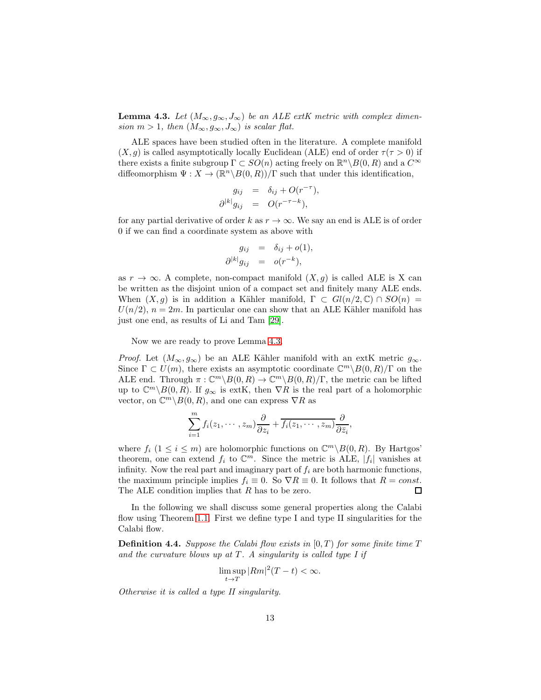<span id="page-12-0"></span>**Lemma 4.3.** Let  $(M_{\infty}, g_{\infty}, J_{\infty})$  be an ALE extK metric with complex dimension  $m > 1$ , then  $(M_{\infty}, g_{\infty}, J_{\infty})$  is scalar flat.

ALE spaces have been studied often in the literature. A complete manifold  $(X, g)$  is called asymptotically locally Euclidean (ALE) end of order  $\tau(\tau > 0)$  if there exists a finite subgroup  $\Gamma \subset SO(n)$  acting freely on  $\mathbb{R}^n \backslash B(0, R)$  and a  $C^{\infty}$ diffeomorphism  $\Psi: X \to (\mathbb{R}^n \backslash B(0, R)) / \Gamma$  such that under this identification,

$$
g_{ij} = \delta_{ij} + O(r^{-\tau}),
$$
  

$$
\partial^{|k|} g_{ij} = O(r^{-\tau-k}),
$$

for any partial derivative of order k as  $r \to \infty$ . We say an end is ALE is of order 0 if we can find a coordinate system as above with

$$
g_{ij} = \delta_{ij} + o(1),
$$
  

$$
\partial^{|k|} g_{ij} = o(r^{-k}),
$$

as  $r \to \infty$ . A complete, non-compact manifold  $(X, g)$  is called ALE is X can be written as the disjoint union of a compact set and finitely many ALE ends. When  $(X, g)$  is in addition a Kähler manifold,  $\Gamma \subset Gl(n/2, \mathbb{C}) \cap SO(n) =$  $U(n/2)$ ,  $n = 2m$ . In particular one can show that an ALE Kähler manifold has just one end, as results of Li and Tam [\[29\]](#page-28-12).

Now we are ready to prove Lemma [4.3.](#page-12-0)

*Proof.* Let  $(M_{\infty}, g_{\infty})$  be an ALE Kähler manifold with an extK metric  $g_{\infty}$ . Since  $\Gamma \subset U(m)$ , there exists an asymptotic coordinate  $\mathbb{C}^m \setminus B(0, R)/\Gamma$  on the ALE end. Through  $\pi : \mathbb{C}^m \backslash B(0,R) \to \mathbb{C}^m \backslash B(0,R)/\Gamma$ , the metric can be lifted up to  $\mathbb{C}^m \setminus B(0, R)$ . If  $g_{\infty}$  is extK, then  $\nabla R$  is the real part of a holomorphic vector, on  $\mathbb{C}^m \backslash B(0,R)$ , and one can express  $\nabla R$  as

$$
\sum_{i=1}^{m} f_i(z_1, \dots, z_m) \frac{\partial}{\partial z_i} + \overline{f_i(z_1, \dots, z_m)} \frac{\partial}{\partial \overline{z}_i},
$$

where  $f_i$   $(1 \leq i \leq m)$  are holomorphic functions on  $\mathbb{C}^m \setminus B(0, R)$ . By Hartgos' theorem, one can extend  $f_i$  to  $\mathbb{C}^m$ . Since the metric is ALE,  $|f_i|$  vanishes at infinity. Now the real part and imaginary part of  $f_i$  are both harmonic functions, the maximum principle implies  $f_i \equiv 0$ . So  $\nabla R \equiv 0$ . It follows that  $R = const$ .<br>The ALE condition implies that R has to be zero. The ALE condition implies that R has to be zero.

In the following we shall discuss some general properties along the Calabi flow using Theorem [1.1.](#page-1-0) First we define type I and type II singularities for the Calabi flow.

**Definition 4.4.** Suppose the Calabi flow exists in  $[0, T)$  for some finite time T and the curvature blows up at  $T$ . A singularity is called type I if

$$
\limsup_{t \to T} |Rm|^2(T-t) < \infty.
$$

Otherwise it is called a type II singularity.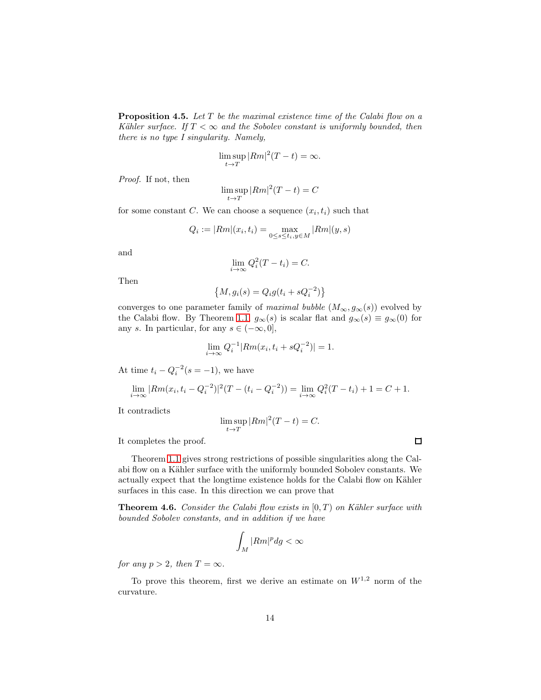**Proposition 4.5.** Let  $T$  be the maximal existence time of the Calabi flow on a Kähler surface. If  $T < \infty$  and the Sobolev constant is uniformly bounded, then there is no type I singularity. Namely,

$$
\limsup_{t \to T} |Rm|^2(T-t) = \infty.
$$

Proof. If not, then

$$
\limsup_{t \to T} |Rm|^2 (T - t) = C
$$

for some constant C. We can choose a sequence  $(x_i, t_i)$  such that

$$
Q_i := |Rm|(x_i, t_i) = \max_{0 \le s \le t_i, y \in M} |Rm|(y, s)
$$

and

$$
\lim_{i \to \infty} Q_i^2(T - t_i) = C.
$$

Then

$$
\left\{M, g_i(s) = Q_i g(t_i + sQ_i^{-2})\right\}
$$

converges to one parameter family of maximal bubble  $(M_{\infty}, g_{\infty}(s))$  evolved by the Calabi flow. By Theorem [1.1,](#page-1-0)  $g_{\infty}(s)$  is scalar flat and  $g_{\infty}(s) \equiv g_{\infty}(0)$  for any s. In particular, for any  $s \in (-\infty, 0],$ 

$$
\lim_{i \to \infty} Q_i^{-1} |Rm(x_i, t_i + sQ_i^{-2})| = 1.
$$

At time  $t_i - Q_i^{-2}(s = -1)$ , we have

$$
\lim_{i \to \infty} |Rm(x_i, t_i - Q_i^{-2})|^2 (T - (t_i - Q_i^{-2})) = \lim_{i \to \infty} Q_i^2 (T - t_i) + 1 = C + 1.
$$

It contradicts

$$
\limsup_{t \to T} |Rm|^2(T - t) = C.
$$

It completes the proof.

Theorem [1.1](#page-1-0) gives strong restrictions of possible singularities along the Calabi flow on a Kähler surface with the uniformly bounded Sobolev constants. We actually expect that the longtime existence holds for the Calabi flow on Kähler surfaces in this case. In this direction we can prove that

<span id="page-13-0"></span>**Theorem 4.6.** Consider the Calabi flow exists in  $[0, T)$  on Kähler surface with bounded Sobolev constants, and in addition if we have

$$
\int_M |Rm|^p dg < \infty
$$

for any  $p > 2$ , then  $T = \infty$ .

To prove this theorem, first we derive an estimate on  $W^{1,2}$  norm of the curvature.

 $\Box$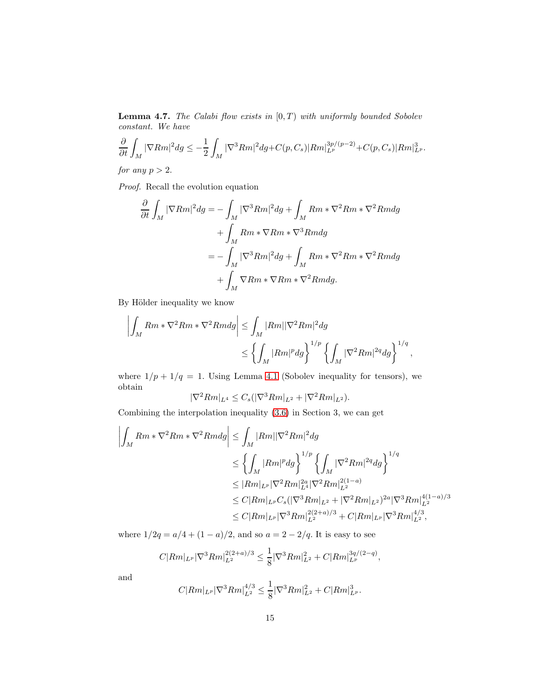<span id="page-14-0"></span>**Lemma 4.7.** The Calabi flow exists in  $[0, T)$  with uniformly bounded Sobolev constant. We have

$$
\frac{\partial}{\partial t} \int_M |\nabla Rm|^2 dg \le -\frac{1}{2} \int_M |\nabla^3 Rm|^2 dg + C(p, C_s) |Rm|_{L^p}^{3p/(p-2)} + C(p, C_s) |Rm|_{L^p}^3.
$$

for any  $p > 2$ .

Proof. Recall the evolution equation

$$
\frac{\partial}{\partial t} \int_M |\nabla Rm|^2 dg = -\int_M |\nabla^3 Rm|^2 dg + \int_M Rm*\nabla^2 Rm*\nabla^2 Rmdg
$$
  
+ 
$$
\int_M Rm*\nabla Rm*\nabla^3 Rmdg
$$
  
= 
$$
- \int_M |\nabla^3 Rm|^2 dg + \int_M Rm*\nabla^2 Rm*\nabla^2 Rmdg
$$
  
+ 
$$
\int_M \nabla Rm*\nabla Rm*\nabla^2 Rmdg.
$$

By Hölder inequality we know

$$
\left| \int_M Rm*\nabla^2 Rm*\nabla^2 Rmdg \right| \leq \int_M |Rm||\nabla^2 Rm|^2 dg
$$
  

$$
\leq \left\{ \int_M |Rm|^p dg \right\}^{1/p} \left\{ \int_M |\nabla^2 Rm|^{2q} dg \right\}^{1/q},
$$

where  $1/p + 1/q = 1$ . Using Lemma [4.1](#page-9-3) (Sobolev inequality for tensors), we obtain

$$
|\nabla^2 Rm|_{L^4} \leq C_s (|\nabla^3 Rm|_{L^2} + |\nabla^2 Rm|_{L^2}).
$$

Combining the interpolation inequality [\(3.6\)](#page-7-0) in Section 3, we can get

$$
\left| \int_{M} Rm * \nabla^{2} Rm * \nabla^{2} Rmdg \right| \leq \int_{M} |Rm| |\nabla^{2} Rm|^{2} dg
$$
  
\n
$$
\leq \left\{ \int_{M} |Rm|^{p} dg \right\}^{1/p} \left\{ \int_{M} |\nabla^{2} Rm|^{2q} dg \right\}^{1/q}
$$
  
\n
$$
\leq |Rm|_{L^{p}} |\nabla^{2} Rm|_{L^{4}}^{2q} |\nabla^{2} Rm|_{L^{2}}^{2(1-a)}
$$
  
\n
$$
\leq C |Rm|_{L^{p}} C_{s} (|\nabla^{3} Rm|_{L^{2}} + |\nabla^{2} Rm|_{L^{2}})^{2a} |\nabla^{3} Rm|_{L^{2}}^{4(1-a)/3}
$$
  
\n
$$
\leq C |Rm|_{L^{p}} |\nabla^{3} Rm|_{L^{2}}^{2(2+a)/3} + C |Rm|_{L^{p}} |\nabla^{3} Rm|_{L^{2}}^{4/3},
$$

where  $1/2q = a/4 + (1 - a)/2$ , and so  $a = 2 - 2/q$ . It is easy to see

$$
C|Rm|_{L^p} |\nabla^3 Rm|_{L^2}^{2(2+a)/3} \le \frac{1}{8} |\nabla^3 Rm|_{L^2}^2 + C|Rm|_{L^p}^{3q/(2-q)},
$$

and

$$
C|Rm|_{L^p} |\nabla^3 Rm|_{L^2}^{4/3} \leq \frac{1}{8} |\nabla^3 Rm|_{L^2}^2 + C|Rm|_{L^p}^3.
$$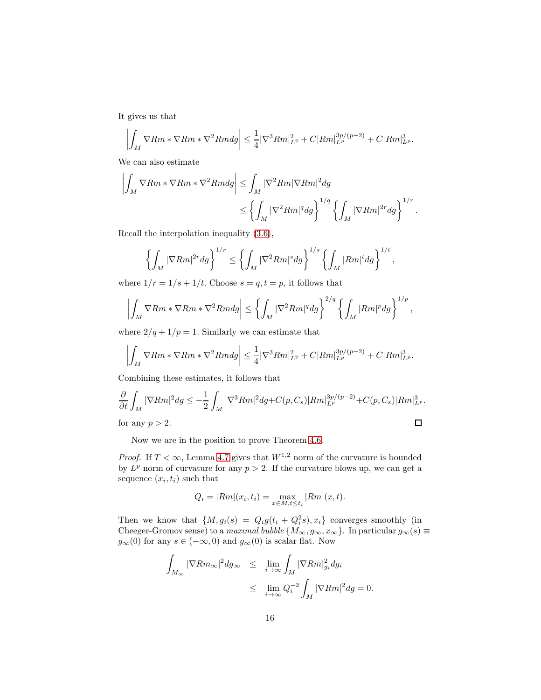It gives us that

$$
\left| \int_{M} \nabla Rm * \nabla Rm * \nabla^2 Rmdg \right| \leq \frac{1}{4} |\nabla^3 Rm|_{L^2}^2 + C|Rm|_{L^p}^{3p/(p-2)} + C|Rm|_{L^p}^3.
$$

We can also estimate

$$
\left| \int_M \nabla Rm * \nabla Rm * \nabla^2 Rmdg \right| \leq \int_M |\nabla^2 Rm| \nabla Rm|^2 dg
$$
  

$$
\leq \left\{ \int_M |\nabla^2 Rm|^q dg \right\}^{1/q} \left\{ \int_M |\nabla Rm|^{2r} dg \right\}^{1/r}.
$$

Recall the interpolation inequality [\(3.6\)](#page-7-0),

$$
\left\{\int_M |\nabla Rm|^{2r}dg\right\}^{1/r} \le \left\{\int_M |\nabla^2 Rm|^s dg\right\}^{1/s} \left\{\int_M |Rm|^t dg\right\}^{1/t},
$$

where  $1/r = 1/s + 1/t$ . Choose  $s = q, t = p$ , it follows that

$$
\left| \int_M \nabla Rm * \nabla Rm * \nabla^2 Rmdg \right| \leq \left\{ \int_M |\nabla^2 Rm|^q dg \right\}^{2/q} \left\{ \int_M |Rm|^p dg \right\}^{1/p},
$$

where  $2/q + 1/p = 1$ . Similarly we can estimate that

$$
\left| \int_{M} \nabla Rm * \nabla Rm * \nabla^2 Rmdg \right| \leq \frac{1}{4} |\nabla^3 Rm|_{L^2}^2 + C|Rm|_{L^p}^{3p/(p-2)} + C|Rm|_{L^p}^3.
$$

Combining these estimates, it follows that

$$
\frac{\partial}{\partial t} \int_M |\nabla Rm|^2 dg \le -\frac{1}{2} \int_M |\nabla^3 Rm|^2 dg + C(p, C_s) |Rm|_{L^p}^{3p/(p-2)} + C(p, C_s) |Rm|_{L^p}^3.
$$
\n
$$
\Box
$$

Now we are in the position to prove Theorem [4.6.](#page-13-0)

*Proof.* If  $T < \infty$ , Lemma [4.7](#page-14-0) gives that  $W^{1,2}$  norm of the curvature is bounded by  $L^p$  norm of curvature for any  $p > 2$ . If the curvature blows up, we can get a sequence  $(x_i, t_i)$  such that

$$
Q_i = |Rm|(x_i, t_i) = \max_{x \in M, t \le t_i} |Rm|(x, t).
$$

Then we know that  $\{M, g_i(s) = Q_i g(t_i + Q_i^2 s), x_i\}$  converges smoothly (in Cheeger-Gromov sense) to a maximal bubble  $\{M_{\infty}, g_{\infty}, x_{\infty}\}\$ . In particular  $g_{\infty}(s) \equiv$  $g_{\infty}(0)$  for any  $s \in (-\infty, 0)$  and  $g_{\infty}(0)$  is scalar flat. Now

$$
\int_{M_{\infty}} |\nabla Rm_{\infty}|^2 dg_{\infty} \leq \lim_{i \to \infty} \int_M |\nabla Rm|_{g_i}^2 dg_i
$$
  

$$
\leq \lim_{i \to \infty} Q_i^{-2} \int_M |\nabla Rm|^2 dg = 0.
$$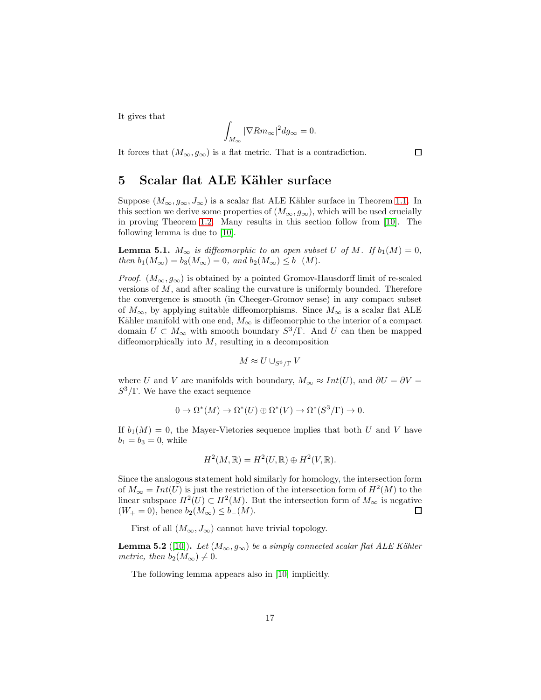It gives that

$$
\int_{M_{\infty}} |\nabla Rm_{\infty}|^2 dg_{\infty} = 0.
$$

It forces that  $(M_{\infty}, g_{\infty})$  is a flat metric. That is a contradiction.

# <span id="page-16-0"></span>5 Scalar flat ALE Kähler surface

Suppose  $(M_{\infty}, g_{\infty}, J_{\infty})$  is a scalar flat ALE Kähler surface in Theorem [1.1.](#page-1-0) In this section we derive some properties of  $(M_{\infty}, g_{\infty})$ , which will be used crucially in proving Theorem [1.2.](#page-2-0) Many results in this section follow from [\[10\]](#page-27-5). The following lemma is due to [\[10\]](#page-27-5).

<span id="page-16-1"></span>**Lemma 5.1.**  $M_{\infty}$  is diffeomorphic to an open subset U of M. If  $b_1(M) = 0$ , then  $b_1(M_\infty) = b_3(M_\infty) = 0$ , and  $b_2(M_\infty) \leq b_-(M)$ .

*Proof.*  $(M_{\infty}, g_{\infty})$  is obtained by a pointed Gromov-Hausdorff limit of re-scaled versions of  $M$ , and after scaling the curvature is uniformly bounded. Therefore the convergence is smooth (in Cheeger-Gromov sense) in any compact subset of  $M_{\infty}$ , by applying suitable diffeomorphisms. Since  $M_{\infty}$  is a scalar flat ALE Kähler manifold with one end,  $M_{\infty}$  is diffeomorphic to the interior of a compact domain  $U \subset M_{\infty}$  with smooth boundary  $S^3/\Gamma$ . And U can then be mapped diffeomorphically into  $M$ , resulting in a decomposition

$$
M \approx U \cup_{S^3/\Gamma} V
$$

where U and V are manifolds with boundary,  $M_{\infty} \approx Int(U)$ , and  $\partial U = \partial V =$  $S^3/\Gamma$ . We have the exact sequence

$$
0 \to \Omega^*(M) \to \Omega^*(U) \oplus \Omega^*(V) \to \Omega^*(S^3/\Gamma) \to 0.
$$

If  $b_1(M) = 0$ , the Mayer-Vietories sequence implies that both U and V have  $b_1 = b_3 = 0$ , while

$$
H^2(M, \mathbb{R}) = H^2(U, \mathbb{R}) \oplus H^2(V, \mathbb{R}).
$$

Since the analogous statement hold similarly for homology, the intersection form of  $M_{\infty} = Int(U)$  is just the restriction of the intersection form of  $H^2(M)$  to the linear subspace  $H^2(U) \subset H^2(M)$ . But the intersection form of  $M_{\infty}$  is negative  $(W_{+} = 0)$ , hence  $b_2(M_{\infty}) \leq b_-(M)$ .  $\Box$ 

First of all  $(M_{\infty}, J_{\infty})$  cannot have trivial topology.

**Lemma 5.2** ([\[10\]](#page-27-5)). Let  $(M_{\infty}, g_{\infty})$  be a simply connected scalar flat ALE Kähler metric, then  $b_2(M_{\infty}) \neq 0$ .

The following lemma appears also in [\[10\]](#page-27-5) implicitly.

 $\Box$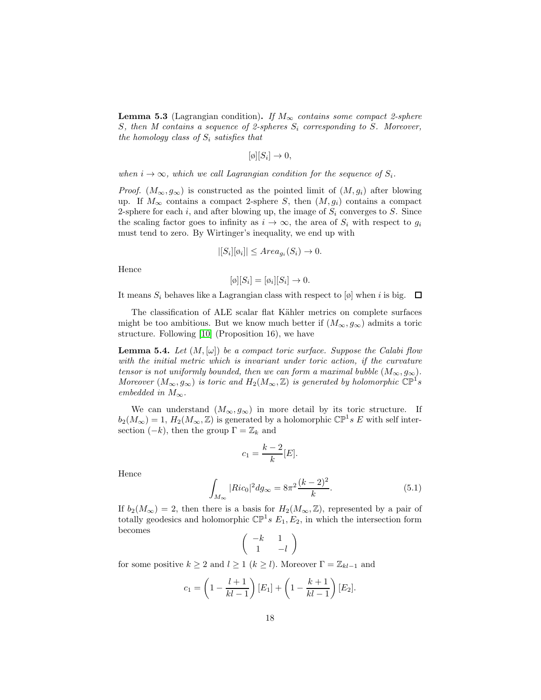**Lemma 5.3** (Lagrangian condition). If  $M_{\infty}$  contains some compact 2-sphere S, then M contains a sequence of 2-spheres  $S_i$  corresponding to S. Moreover, the homology class of  $S_i$  satisfies that

$$
[\emptyset][S_i] \to 0,
$$

when  $i \to \infty$ , which we call Lagrangian condition for the sequence of  $S_i$ .

*Proof.*  $(M_{\infty}, g_{\infty})$  is constructed as the pointed limit of  $(M, g_i)$  after blowing up. If  $M_{\infty}$  contains a compact 2-sphere S, then  $(M, g_i)$  contains a compact 2-sphere for each i, and after blowing up, the image of  $S_i$  converges to S. Since the scaling factor goes to infinity as  $i \to \infty$ , the area of  $S_i$  with respect to  $g_i$ must tend to zero. By Wirtinger's inequality, we end up with

$$
|[S_i][\varphi_i]| \leq Area_{g_i}(S_i) \to 0.
$$

Hence

$$
[\emptyset][S_i] = [\emptyset_i][S_i] \to 0.
$$

It means  $S_i$  behaves like a Lagrangian class with respect to [ø] when i is big.  $\Box$ 

The classification of ALE scalar flat Kähler metrics on complete surfaces might be too ambitious. But we know much better if  $(M_{\infty}, g_{\infty})$  admits a toric structure. Following [\[10\]](#page-27-5) (Proposition 16), we have

**Lemma 5.4.** Let  $(M, [\omega])$  be a compact toric surface. Suppose the Calabi flow with the initial metric which is invariant under toric action, if the curvature tensor is not uniformly bounded, then we can form a maximal bubble  $(M_{\infty}, g_{\infty})$ . Moreover  $(M_{\infty}, g_{\infty})$  is toric and  $H_2(M_{\infty}, \mathbb{Z})$  is generated by holomorphic  $\mathbb{CP}^1$ s embedded in  $M_{\infty}$ .

We can understand  $(M_{\infty}, g_{\infty})$  in more detail by its toric structure. If  $b_2(M_\infty) = 1, H_2(M_\infty, \mathbb{Z})$  is generated by a holomorphic  $\mathbb{CP}^1 s \mathbb{Z}$  with self intersection  $(-k)$ , then the group  $\Gamma = \mathbb{Z}_k$  and

$$
c_1 = \frac{k-2}{k}[E].
$$

Hence

<span id="page-17-0"></span>
$$
\int_{M_{\infty}} |Ric_0|^2 dg_{\infty} = 8\pi^2 \frac{(k-2)^2}{k}.
$$
\n(5.1)

If  $b_2(M_\infty) = 2$ , then there is a basis for  $H_2(M_\infty, \mathbb{Z})$ , represented by a pair of totally geodesics and holomorphic  $\mathbb{CP}^1 s E_1, E_2$ , in which the intersection form becomes

$$
\left(\begin{array}{cc} -k & 1\\ 1 & -l \end{array}\right)
$$

for some positive  $k \geq 2$  and  $l \geq 1$   $(k \geq l)$ . Moreover  $\Gamma = \mathbb{Z}_{kl-1}$  and

$$
c_1 = \left(1 - \frac{l+1}{kl-1}\right)[E_1] + \left(1 - \frac{k+1}{kl-1}\right)[E_2].
$$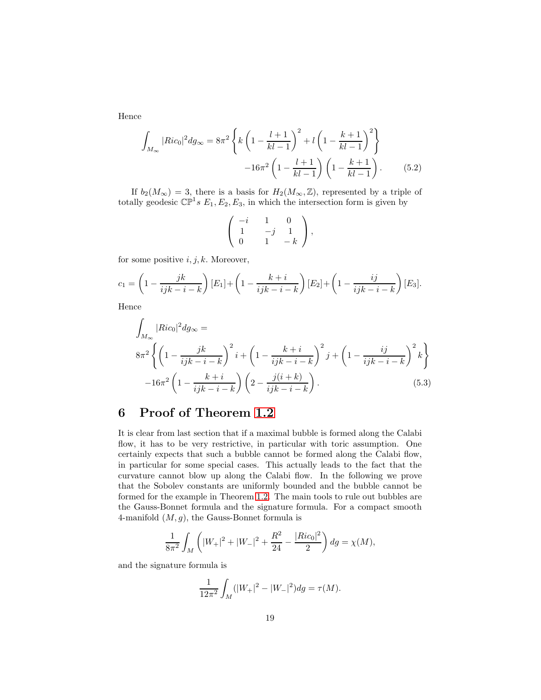Hence

<span id="page-18-1"></span>
$$
\int_{M_{\infty}} |Ric_0|^2 dg_{\infty} = 8\pi^2 \left\{ k \left( 1 - \frac{l+1}{kl-1} \right)^2 + l \left( 1 - \frac{k+1}{kl-1} \right)^2 \right\}
$$

$$
-16\pi^2 \left( 1 - \frac{l+1}{kl-1} \right) \left( 1 - \frac{k+1}{kl-1} \right). \tag{5.2}
$$

If  $b_2(M_\infty) = 3$ , there is a basis for  $H_2(M_\infty, \mathbb{Z})$ , represented by a triple of totally geodesic  $\mathbb{CP}^1 s E_1, E_2, E_3$ , in which the intersection form is given by

$$
\left(\begin{array}{ccc} -i & 1 & 0 \\ 1 & -j & 1 \\ 0 & 1 & -k \end{array}\right),
$$

for some positive  $i, j, k$ . Moreover,

$$
c_1 = \left(1 - \frac{jk}{ijk - i - k}\right)[E_1] + \left(1 - \frac{k + i}{ijk - i - k}\right)[E_2] + \left(1 - \frac{ij}{ijk - i - k}\right)[E_3].
$$

Hence

<span id="page-18-2"></span>
$$
\int_{M_{\infty}} |Ric_0|^2 dg_{\infty} =
$$
\n
$$
8\pi^2 \left\{ \left( 1 - \frac{jk}{ijk - i - k} \right)^2 i + \left( 1 - \frac{k + i}{ijk - i - k} \right)^2 j + \left( 1 - \frac{ij}{ijk - i - k} \right)^2 k \right\}
$$
\n
$$
-16\pi^2 \left( 1 - \frac{k + i}{ijk - i - k} \right) \left( 2 - \frac{j(i + k)}{ijk - i - k} \right).
$$
\n(5.3)

# <span id="page-18-0"></span>6 Proof of Theorem [1.2](#page-2-0)

It is clear from last section that if a maximal bubble is formed along the Calabi flow, it has to be very restrictive, in particular with toric assumption. One certainly expects that such a bubble cannot be formed along the Calabi flow, in particular for some special cases. This actually leads to the fact that the curvature cannot blow up along the Calabi flow. In the following we prove that the Sobolev constants are uniformly bounded and the bubble cannot be formed for the example in Theorem [1.2.](#page-2-0) The main tools to rule out bubbles are the Gauss-Bonnet formula and the signature formula. For a compact smooth 4-manifold  $(M, g)$ , the Gauss-Bonnet formula is

$$
\frac{1}{8\pi^2} \int_M \left( |W_+|^2 + |W_-|^2 + \frac{R^2}{24} - \frac{|Ric_0|^2}{2} \right) dg = \chi(M),
$$

and the signature formula is

$$
\frac{1}{12\pi^2} \int_M (|W_+|^2 - |W_-|^2) dg = \tau(M).
$$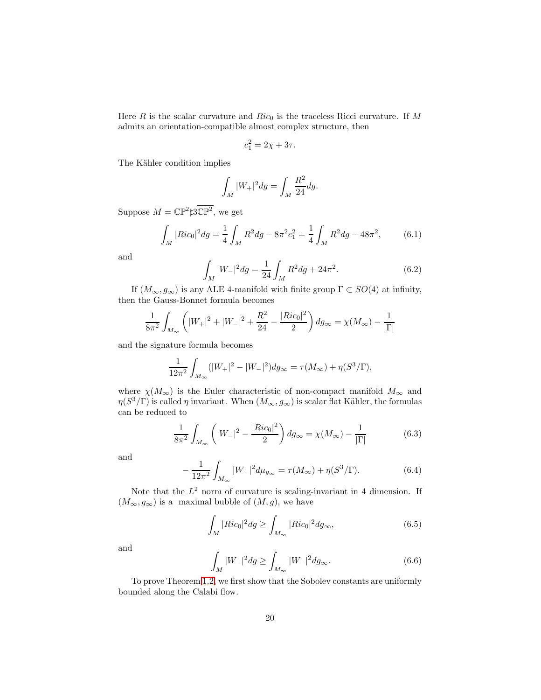Here  $R$  is the scalar curvature and  $Ric_0$  is the traceless Ricci curvature. If  $M$ admits an orientation-compatible almost complex structure, then

$$
c_1^2 = 2\chi + 3\tau.
$$

The Kähler condition implies

$$
\int_M |W_+|^2 dg = \int_M \frac{R^2}{24} dg.
$$

Suppose  $M = \mathbb{CP}^2 \sharp 3\mathbb{CP}^2$ , we get

<span id="page-19-2"></span>
$$
\int_{M} |Ric_{0}|^{2} dg = \frac{1}{4} \int_{M} R^{2} dg - 8\pi^{2} c_{1}^{2} = \frac{1}{4} \int_{M} R^{2} dg - 48\pi^{2},
$$
 (6.1)

and

<span id="page-19-1"></span>
$$
\int_{M} |W_{-}|^{2} dg = \frac{1}{24} \int_{M} R^{2} dg + 24\pi^{2}.
$$
\n(6.2)

If  $(M_{\infty}, g_{\infty})$  is any ALE 4-manifold with finite group  $\Gamma \subset SO(4)$  at infinity, then the Gauss-Bonnet formula becomes

$$
\frac{1}{8\pi^2} \int_{M_{\infty}} \left( |W_+|^2 + |W_-|^2 + \frac{R^2}{24} - \frac{|Ric_0|^2}{2} \right) dg_{\infty} = \chi(M_{\infty}) - \frac{1}{|\Gamma|}
$$

and the signature formula becomes

$$
\frac{1}{12\pi^2} \int_{M_{\infty}} (|W_+|^2 - |W_-|^2) dg_{\infty} = \tau(M_{\infty}) + \eta(S^3/\Gamma),
$$

where  $\chi(M_{\infty})$  is the Euler characteristic of non-compact manifold  $M_{\infty}$  and  $\eta(S^3/\Gamma)$  is called  $\eta$  invariant. When  $(M_{\infty}, g_{\infty})$  is scalar flat Kähler, the formulas can be reduced to

<span id="page-19-0"></span>
$$
\frac{1}{8\pi^2} \int_{M_{\infty}} \left( |W_{-}|^2 - \frac{|Ric_0|^2}{2} \right) dg_{\infty} = \chi(M_{\infty}) - \frac{1}{|\Gamma|} \tag{6.3}
$$

and

$$
-\frac{1}{12\pi^2} \int_{M_{\infty}} |W_{-}|^2 d\mu_{g_{\infty}} = \tau(M_{\infty}) + \eta(S^3/\Gamma). \tag{6.4}
$$

Note that the  $L^2$  norm of curvature is scaling-invariant in 4 dimension. If  $(M_{\infty}, g_{\infty})$  is a maximal bubble of  $(M, g)$ , we have

<span id="page-19-3"></span>
$$
\int_{M} |Ric_{0}|^{2} dg \ge \int_{M_{\infty}} |Ric_{0}|^{2} dg_{\infty},
$$
\n(6.5)

and

$$
\int_{M} |W_{-}|^{2} dg \ge \int_{M_{\infty}} |W_{-}|^{2} dg_{\infty}.
$$
\n(6.6)

To prove Theorem [1.2,](#page-2-0) we first show that the Sobolev constants are uniformly bounded along the Calabi flow.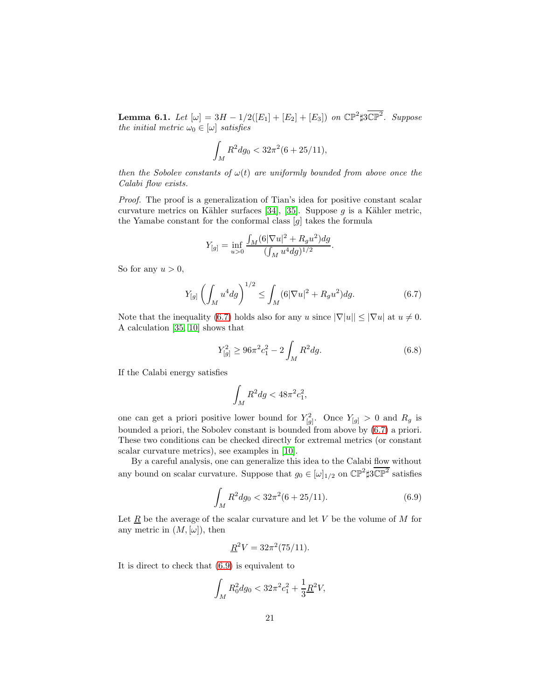**Lemma 6.1.** Let  $[\omega] = 3H - 1/2([E_1] + [E_2] + [E_3])$  on  $\mathbb{CP}^2$ #3 $\mathbb{CP}^2$ . Suppose the initial metric  $\omega_0 \in [\omega]$  satisfies

$$
\int_M R^2 dg_0 < 32\pi^2 (6 + 25/11),
$$

then the Sobolev constants of  $\omega(t)$  are uniformly bounded from above once the Calabi flow exists.

Proof. The proof is a generalization of Tian's idea for positive constant scalar curvature metrics on Kähler surfaces [\[34\]](#page-29-4), [\[35\]](#page-29-5). Suppose  $g$  is a Kähler metric, the Yamabe constant for the conformal class [g] takes the formula

$$
Y_{[g]} = \inf_{u>0} \frac{\int_M (6|\nabla u|^2 + R_g u^2) dg}{(\int_M u^4 dg)^{1/2}}
$$

So for any  $u > 0$ ,

<span id="page-20-0"></span>
$$
Y_{[g]}\left(\int_M u^4 dg\right)^{1/2} \le \int_M (6|\nabla u|^2 + R_g u^2) dg. \tag{6.7}
$$

Note that the inequality [\(6.7\)](#page-20-0) holds also for any u since  $|\nabla |u| \leq |\nabla u|$  at  $u \neq 0$ . A calculation [\[35,](#page-29-5) [10\]](#page-27-5) shows that

<span id="page-20-2"></span>
$$
Y_{[g]}^2 \ge 96\pi^2 c_1^2 - 2\int_M R^2 dg.
$$
\n(6.8)

.

If the Calabi energy satisfies

$$
\int_M R^2 dg < 48\pi^2 c_1^2,
$$

one can get a priori positive lower bound for  $Y_{[g]}^2$ . Once  $Y_{[g]} > 0$  and  $R_g$  is bounded a priori, the Sobolev constant is bounded from above by [\(6.7\)](#page-20-0) a priori. These two conditions can be checked directly for extremal metrics (or constant scalar curvature metrics), see examples in [\[10\]](#page-27-5).

By a careful analysis, one can generalize this idea to the Calabi flow without any bound on scalar curvature. Suppose that  $g_0 \in [\omega]_{1/2}$  on  $\mathbb{CP}^2 \sharp 3\mathbb{CP}^2$  satisfies

<span id="page-20-1"></span>
$$
\int_{M} R^{2} dg_{0} < 32\pi^{2} (6 + 25/11). \tag{6.9}
$$

Let  $\underline{R}$  be the average of the scalar curvature and let V be the volume of M for any metric in  $(M, [\omega])$ , then

$$
\underline{R}^2 V = 32\pi^2 (75/11).
$$

It is direct to check that [\(6.9\)](#page-20-1) is equivalent to

$$
\int_M R_0^2 dg_0 < 32\pi^2 c_1^2 + \frac{1}{3} \underline{R}^2 V,
$$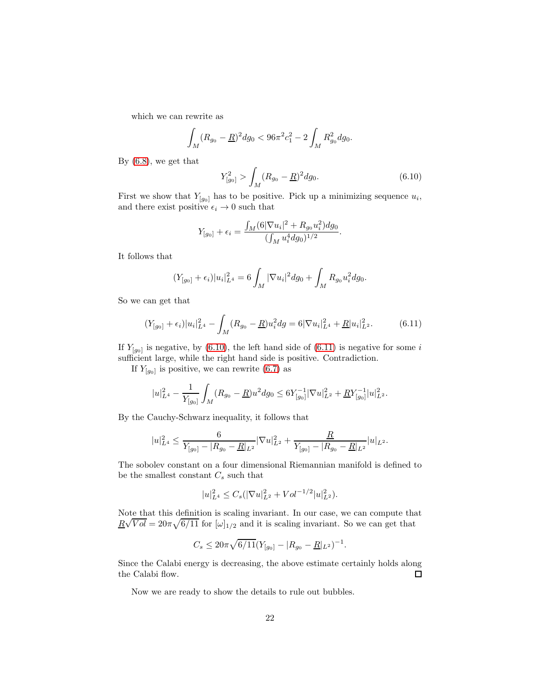which we can rewrite as

$$
\int_M (R_{g_0} - \underline{R})^2 dg_0 < 96\pi^2 c_1^2 - 2 \int_M R_{g_0}^2 dg_0.
$$

By [\(6.8\)](#page-20-2), we get that

<span id="page-21-0"></span>
$$
Y_{[g_0]}^2 > \int_M (R_{g_0} - \underline{R})^2 dg_0.
$$
\n(6.10)

.

First we show that  $Y_{[g_0]}$  has to be positive. Pick up a minimizing sequence  $u_i$ , and there exist positive  $\epsilon_i \to 0$  such that

$$
Y_{[g_0]} + \epsilon_i = \frac{\int_M (6|\nabla u_i|^2 + R_{g_0} u_i^2) dg_0}{(\int_M u_i^4 dg_0)^{1/2}}
$$

It follows that

$$
(Y_{[g_0]} + \epsilon_i)|u_i|_{L^4}^2 = 6 \int_M |\nabla u_i|^2 dg_0 + \int_M R_{g_0} u_i^2 dg_0.
$$

So we can get that

<span id="page-21-1"></span>
$$
(Y_{[g_0]} + \epsilon_i)|u_i|_{L^4}^2 - \int_M (R_{g_0} - \underline{R})u_i^2 dg = 6|\nabla u_i|_{L^4}^2 + \underline{R}|u_i|_{L^2}^2.
$$
 (6.11)

If  $Y_{[g_0]}$  is negative, by [\(6.10\)](#page-21-0), the left hand side of [\(6.11\)](#page-21-1) is negative for some i sufficient large, while the right hand side is positive. Contradiction.

If  $Y_{[g_0]}$  is positive, we can rewrite [\(6.7\)](#page-20-0) as

$$
|u|_{L^4}^2 - \frac{1}{Y_{[g_0]}} \int_M (R_{g_0} - \underline{R}) u^2 dg_0 \le 6Y_{[g_0]}^{-1} |\nabla u|_{L^2}^2 + \underline{R} Y_{[g_0]}^{-1} |u|_{L^2}^2.
$$

By the Cauchy-Schwarz inequality, it follows that

$$
|u|_{L^4}^2 \leq \frac{6}{Y_{[g_0]} - |R_{g_0} - \underline{R}|_{L^2}} |\nabla u|_{L^2}^2 + \frac{\underline{R}}{Y_{[g_0]} - |R_{g_0} - \underline{R}|_{L^2}} |u|_{L^2}.
$$

The sobolev constant on a four dimensional Riemannian manifold is defined to be the smallest constant  $C_s$  such that

$$
|u|_{L^4}^2 \le C_s (|\nabla u|_{L^2}^2 + Vol^{-1/2} |u|_{L^2}^2).
$$

Note that this definition is scaling invariant. In our case, we can compute that  $R\sqrt{Vol} = 20\pi\sqrt{6/11}$  for  $[\omega]_{1/2}$  and it is scaling invariant. So we can get that

$$
C_s \leq 20\pi\sqrt{6/11}(Y_{[g_0]} - |R_{g_0} - \underline{R}|_{L^2})^{-1}.
$$

Since the Calabi energy is decreasing, the above estimate certainly holds along the Calabi flow.  $\Box$ 

Now we are ready to show the details to rule out bubbles.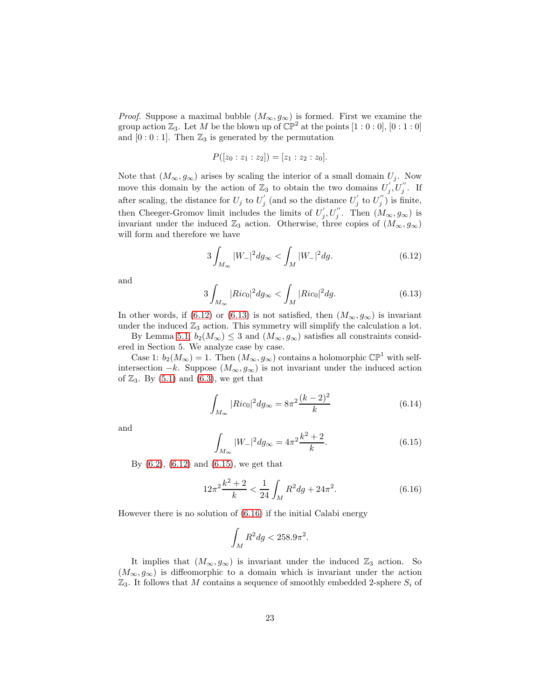*Proof.* Suppose a maximal bubble  $(M_{\infty}, g_{\infty})$  is formed. First we examine the group action  $\mathbb{Z}_3$ . Let M be the blown up of  $\mathbb{CP}^2$  at the points  $[1:0:0]$ ,  $[0:1:0]$ and  $[0:0:1]$ . Then  $\mathbb{Z}_3$  is generated by the permutation

$$
P([z_0:z_1:z_2])=[z_1:z_2:z_0].
$$

Note that  $(M_{\infty}, g_{\infty})$  arises by scaling the interior of a small domain  $U_j$ . Now move this domain by the action of  $\mathbb{Z}_3$  to obtain the two domains  $U'_j$  $j^{'},U_{j}^{''}.$  If after scaling, the distance for  $U_j$  to  $U'_j$  $j^{'}$  (and so the distance  $U_j^{'}$  $j^{'}$  to  $U_j^{''}$  $j$ ) is finite, then Cheeger-Gromov limit includes the limits of  $U'_{i}$  $j', U''_j$ . Then  $(M_{\infty}, g_{\infty})$  is invariant under the induced  $\mathbb{Z}_3$  action. Otherwise, three copies of  $(M_{\infty}, g_{\infty})$ will form and therefore we have

<span id="page-22-0"></span>
$$
3\int_{M_{\infty}} |W_{-}|^{2} dg_{\infty} < \int_{M} |W_{-}|^{2} dg.
$$
 (6.12)

and

<span id="page-22-1"></span>
$$
3\int_{M_{\infty}}|Ric_0|^2dg_{\infty} < \int_M |Ric_0|^2dg.
$$
\n(6.13)

In other words, if [\(6.12\)](#page-22-0) or [\(6.13\)](#page-22-1) is not satisfied, then  $(M_{\infty}, g_{\infty})$  is invariant under the induced  $\mathbb{Z}_3$  action. This symmetry will simplify the calculation a lot.

By Lemma [5.1,](#page-16-1)  $b_2(M_\infty) \leq 3$  and  $(M_\infty, g_\infty)$  satisfies all constraints considered in Section 5. We analyze case by case.

Case 1:  $b_2(M_\infty) = 1$ . Then  $(M_\infty, g_\infty)$  contains a holomorphic  $\mathbb{CP}^1$  with selfintersection  $-k$ . Suppose  $(M_{\infty}, g_{\infty})$  is not invariant under the induced action of  $\mathbb{Z}_3$ . By [\(5.1\)](#page-17-0) and [\(6.3\)](#page-19-0), we get that

<span id="page-22-4"></span>
$$
\int_{M_{\infty}} |Ric_0|^2 dg_{\infty} = 8\pi^2 \frac{(k-2)^2}{k}
$$
\n(6.14)

and

<span id="page-22-2"></span>
$$
\int_{M_{\infty}} |W_{-}|^{2} dg_{\infty} = 4\pi^{2} \frac{k^{2} + 2}{k}.
$$
\n(6.15)

By  $(6.2)$ ,  $(6.12)$  and  $(6.15)$ , we get that

<span id="page-22-3"></span>
$$
12\pi^2 \frac{k^2 + 2}{k} < \frac{1}{24} \int_M R^2 dg + 24\pi^2. \tag{6.16}
$$

However there is no solution of [\(6.16\)](#page-22-3) if the initial Calabi energy

$$
\int_M R^2 dg < 258.9\pi^2.
$$

It implies that  $(M_{\infty}, g_{\infty})$  is invariant under the induced  $\mathbb{Z}_3$  action. So  $(M_{\infty}, g_{\infty})$  is diffeomorphic to a domain which is invariant under the action  $\mathbb{Z}_3$ . It follows that M contains a sequence of smoothly embedded 2-sphere  $S_i$  of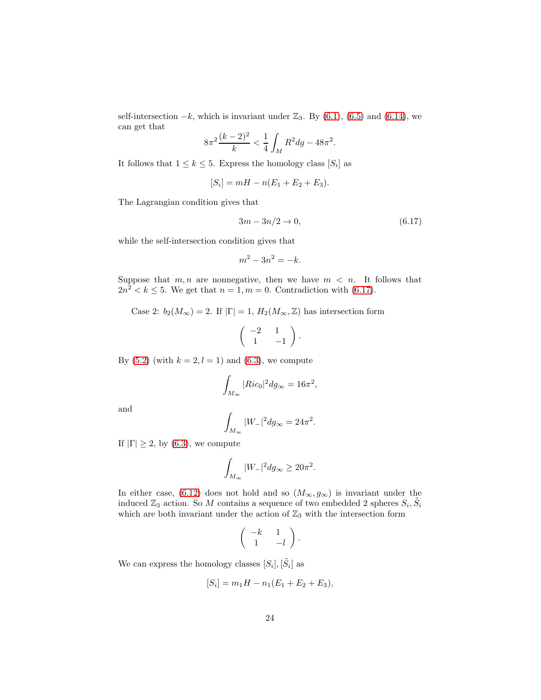self-intersection  $-k$ , which is invariant under  $\mathbb{Z}_3$ . By [\(6.1\)](#page-19-2), [\(6.5\)](#page-19-3) and [\(6.14\)](#page-22-4), we can get that

$$
8\pi^2\frac{(k-2)^2}{k} < \frac{1}{4} \int_M R^2 \, dg - 48\pi^2.
$$

It follows that  $1 \leq k \leq 5$ . Express the homology class  $[S_i]$  as

$$
[S_i] = mH - n(E_1 + E_2 + E_3).
$$

The Lagrangian condition gives that

<span id="page-23-0"></span>
$$
3m - 3n/2 \to 0,\tag{6.17}
$$

while the self-intersection condition gives that

$$
m^2 - 3n^2 = -k.
$$

Suppose that  $m, n$  are nonnegative, then we have  $m < n$ . It follows that  $2n^2 < k \leq 5$ . We get that  $n = 1, m = 0$ . Contradiction with [\(6.17\)](#page-23-0).

Case 2:  $b_2(M_\infty) = 2$ . If  $|\Gamma| = 1$ ,  $H_2(M_\infty, \mathbb{Z})$  has intersection form

$$
\left(\begin{array}{cc} -2 & 1 \\ 1 & -1 \end{array}\right).
$$

By [\(5.2\)](#page-18-1) (with  $k = 2, l = 1$ ) and [\(6.3\)](#page-19-0), we compute

$$
\int_{M_{\infty}} |Ric_0|^2 dg_{\infty} = 16\pi^2,
$$

and

$$
\int_{M_{\infty}} |W_{-}|^{2} dg_{\infty} = 24\pi^{2}.
$$

If  $|\Gamma| \geq 2$ , by [\(6.3\)](#page-19-0), we compute

$$
\int_{M_{\infty}} |W_{-}|^{2} dg_{\infty} \geq 20\pi^{2}.
$$

In either case, [\(6.12\)](#page-22-0) does not hold and so  $(M_{\infty}, g_{\infty})$  is invariant under the induced  $\mathbb{Z}_3$  action. So M contains a sequence of two embedded 2 spheres  $S_i$ ,  $\tilde{S}_i$ which are both invariant under the action of  $\mathbb{Z}_3$  with the intersection form

$$
\left(\begin{array}{cc} -k & 1 \\ 1 & -l \end{array}\right).
$$

We can express the homology classes  $[S_i], [\tilde{S}_i]$  as

$$
[S_i] = m_1 H - n_1 (E_1 + E_2 + E_3),
$$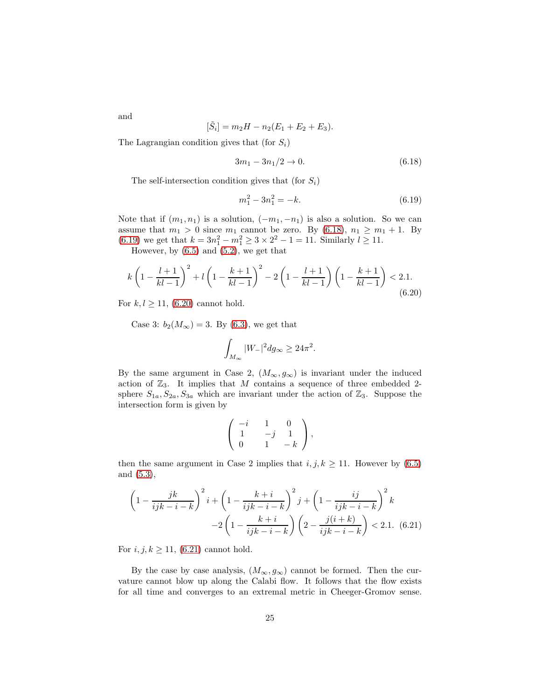and

$$
[\tilde{S}_i] = m_2 H - n_2 (E_1 + E_2 + E_3).
$$

The Lagrangian condition gives that (for  $S_i$ )

<span id="page-24-0"></span>
$$
3m_1 - 3n_1/2 \to 0. \tag{6.18}
$$

The self-intersection condition gives that (for  $S_i$ )

<span id="page-24-1"></span>
$$
m_1^2 - 3n_1^2 = -k.\tag{6.19}
$$

.

Note that if  $(m_1, n_1)$  is a solution,  $(-m_1, -n_1)$  is also a solution. So we can assume that  $m_1 > 0$  since  $m_1$  cannot be zero. By [\(6.18\)](#page-24-0),  $n_1 \geq m_1 + 1$ . By [\(6.19\)](#page-24-1) we get that  $k = 3n_1^2 - m_1^2 \ge 3 \times 2^2 - 1 = 11$ . Similarly  $l \ge 11$ .

However, by  $(6.5)$  and  $(5.2)$ , we get that

<span id="page-24-2"></span>
$$
k\left(1 - \frac{l+1}{kl-1}\right)^2 + l\left(1 - \frac{k+1}{kl-1}\right)^2 - 2\left(1 - \frac{l+1}{kl-1}\right)\left(1 - \frac{k+1}{kl-1}\right) < 2.1. \tag{6.20}
$$

For  $k, l \ge 11, (6.20)$  $k, l \ge 11, (6.20)$  cannot hold.

Case 3:  $b_2(M_{\infty}) = 3$ . By [\(6.3\)](#page-19-0), we get that

$$
\int_{M_\infty}|W_-|^2dg_\infty\geq 24\pi^2
$$

By the same argument in Case 2,  $(M_{\infty}, g_{\infty})$  is invariant under the induced action of  $\mathbb{Z}_3$ . It implies that M contains a sequence of three embedded 2sphere  $S_{1a}$ ,  $S_{2a}$ ,  $S_{3a}$  which are invariant under the action of  $\mathbb{Z}_3$ . Suppose the intersection form is given by

$$
\left(\begin{array}{ccc} -i & 1 & 0 \\ 1 & -j & 1 \\ 0 & 1 & -k \end{array}\right),
$$

then the same argument in Case 2 implies that  $i, j, k \ge 11$ . However by [\(6.5\)](#page-19-3) and [\(5.3\)](#page-18-2),

<span id="page-24-3"></span>
$$
\left(1 - \frac{jk}{ijk - i - k}\right)^2 i + \left(1 - \frac{k + i}{ijk - i - k}\right)^2 j + \left(1 - \frac{ij}{ijk - i - k}\right)^2 k
$$

$$
-2\left(1 - \frac{k + i}{ijk - i - k}\right)\left(2 - \frac{j(i + k)}{ijk - i - k}\right) < 2.1. \tag{6.21}
$$

For  $i, j, k \ge 11$ , [\(6.21\)](#page-24-3) cannot hold.

By the case by case analysis,  $(M_{\infty}, g_{\infty})$  cannot be formed. Then the curvature cannot blow up along the Calabi flow. It follows that the flow exists for all time and converges to an extremal metric in Cheeger-Gromov sense.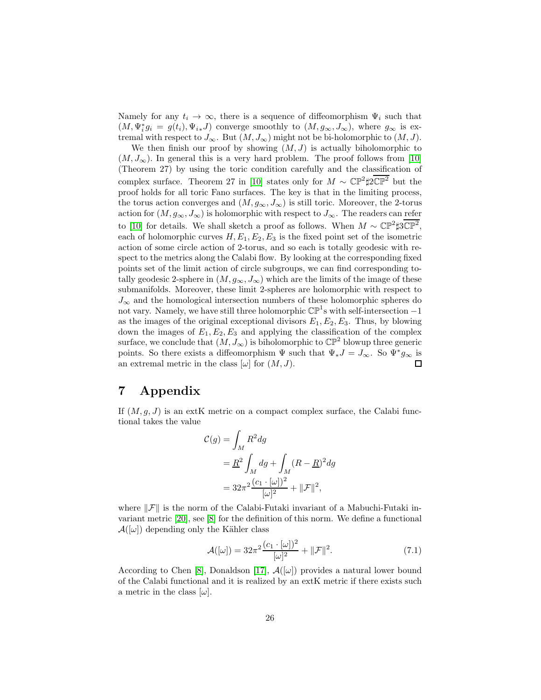Namely for any  $t_i \to \infty$ , there is a sequence of diffeomorphism  $\Psi_i$  such that  $(M, \Psi_i^* g_i = g(t_i), \Psi_{i*} J)$  converge smoothly to  $(M, g_{\infty}, J_{\infty})$ , where  $g_{\infty}$  is extremal with respect to  $J_{\infty}$ . But  $(M, J_{\infty})$  might not be bi-holomorphic to  $(M, J)$ .

We then finish our proof by showing  $(M, J)$  is actually biholomorphic to  $(M, J_{\infty})$ . In general this is a very hard problem. The proof follows from [\[10\]](#page-27-5) (Theorem 27) by using the toric condition carefully and the classification of complex surface. Theorem 27 in [\[10\]](#page-27-5) states only for  $M \sim \mathbb{CP}^2 \sharp 2\mathbb{CP}^2$  but the proof holds for all toric Fano surfaces. The key is that in the limiting process, the torus action converges and  $(M, g_{\infty}, J_{\infty})$  is still toric. Moreover, the 2-torus action for  $(M, g_{\infty}, J_{\infty})$  is holomorphic with respect to  $J_{\infty}$ . The readers can refer to [\[10\]](#page-27-5) for details. We shall sketch a proof as follows. When  $M \sim \mathbb{CP}^2 \sharp 3\mathbb{CP}^2$ , each of holomorphic curves  $H, E_1, E_2, E_3$  is the fixed point set of the isometric action of some circle action of 2-torus, and so each is totally geodesic with respect to the metrics along the Calabi flow. By looking at the corresponding fixed points set of the limit action of circle subgroups, we can find corresponding totally geodesic 2-sphere in  $(M, g_{\infty}, J_{\infty})$  which are the limits of the image of these submanifolds. Moreover, these limit 2-spheres are holomorphic with respect to  $J_{\infty}$  and the homological intersection numbers of these holomorphic spheres do not vary. Namely, we have still three holomorphic  $\mathbb{CP}^1$ s with self-intersection -1 as the images of the original exceptional divisors  $E_1, E_2, E_3$ . Thus, by blowing down the images of  $E_1, E_2, E_3$  and applying the classification of the complex surface, we conclude that  $(M, J_{\infty})$  is biholomorphic to  $\mathbb{CP}^2$  blowup three generic points. So there exists a diffeomorphism  $\Psi$  such that  $\Psi_*J = J_\infty$ . So  $\Psi^*g_\infty$  is an extremal metric in the class  $[\omega]$  for  $(M, J)$ .  $\Box$ 

# <span id="page-25-0"></span>7 Appendix

If  $(M, g, J)$  is an extK metric on a compact complex surface, the Calabi functional takes the value

$$
\mathcal{C}(g) = \int_M R^2 dg
$$
  
=  $\frac{R^2}{M} \int_M dg + \int_M (R - \underline{R})^2 dg$   
=  $32\pi^2 \frac{(c_1 \cdot [\omega])^2}{[\omega]^2} + ||\mathcal{F}||^2$ ,

where  $\|\mathcal{F}\|$  is the norm of the Calabi-Futaki invariant of a Mabuchi-Futaki invariant metric [\[20\]](#page-28-13), see [\[8\]](#page-27-1) for the definition of this norm. We define a functional  $\mathcal{A}([\omega])$  depending only the Kähler class

$$
\mathcal{A}([\omega]) = 32\pi^2 \frac{(c_1 \cdot [\omega])^2}{[\omega]^2} + ||\mathcal{F}||^2. \tag{7.1}
$$

According to Chen [\[8\]](#page-27-1), Donaldson [\[17\]](#page-28-14),  $\mathcal{A}([\omega])$  provides a natural lower bound of the Calabi functional and it is realized by an extK metric if there exists such a metric in the class  $[\omega]$ .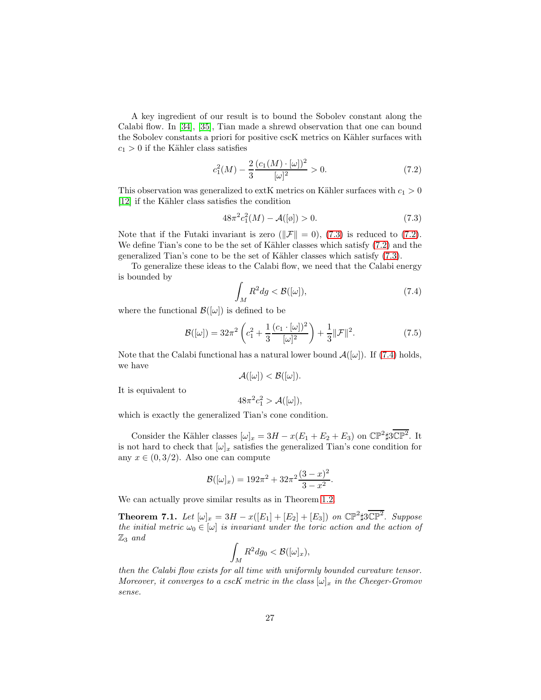A key ingredient of our result is to bound the Sobolev constant along the Calabi flow. In [\[34\]](#page-29-4), [\[35\]](#page-29-5), Tian made a shrewd observation that one can bound the Sobolev constants a priori for positive cscK metrics on Kähler surfaces with  $c_1 > 0$  if the Kähler class satisfies

<span id="page-26-1"></span>
$$
c_1^2(M) - \frac{2}{3} \frac{(c_1(M) \cdot [\omega])^2}{[\omega]^2} > 0.
$$
 (7.2)

This observation was generalized to extK metrics on Kähler surfaces with  $c_1 > 0$ [\[12\]](#page-27-6) if the Kähler class satisfies the condition

<span id="page-26-0"></span>
$$
48\pi^2 c_1^2(M) - \mathcal{A}([\varphi]) > 0. \tag{7.3}
$$

Note that if the Futaki invariant is zero ( $\|\mathcal{F}\| = 0$ ), [\(7.3\)](#page-26-0) is reduced to [\(7.2\)](#page-26-1). We define Tian's cone to be the set of Kähler classes which satisfy  $(7.2)$  and the generalized Tian's cone to be the set of Kähler classes which satisfy  $(7.3)$ .

To generalize these ideas to the Calabi flow, we need that the Calabi energy is bounded by

<span id="page-26-2"></span>
$$
\int_{M} R^{2} dg < \mathcal{B}([\omega]),\tag{7.4}
$$

where the functional  $\mathcal{B}([\omega])$  is defined to be

$$
\mathcal{B}([\omega]) = 32\pi^2 \left( c_1^2 + \frac{1}{3} \frac{(c_1 \cdot [\omega])^2}{[\omega]^2} \right) + \frac{1}{3} ||\mathcal{F}||^2. \tag{7.5}
$$

Note that the Calabi functional has a natural lower bound  $\mathcal{A}([\omega])$ . If [\(7.4\)](#page-26-2) holds, we have

$$
\mathcal{A}([\omega]) < \mathcal{B}([\omega]).
$$

It is equivalent to

$$
48\pi^2 c_1^2 > \mathcal{A}([\omega]),
$$

which is exactly the generalized Tian's cone condition.

Consider the Kähler classes  $[\omega]_x = 3H - x(E_1 + E_2 + E_3)$  on  $\mathbb{CP}^2 \sharp 3\mathbb{CP}^2$ . It is not hard to check that  $[\omega]_x$  satisfies the generalized Tian's cone condition for any  $x \in (0, 3/2)$ . Also one can compute

$$
\mathcal{B}([\omega]_x) = 192\pi^2 + 32\pi^2 \frac{(3-x)^2}{3-x^2}.
$$

We can actually prove similar results as in Theorem [1.2.](#page-2-0)

**Theorem 7.1.** Let  $[\omega]_x = 3H - x([E_1] + [E_2] + [E_3])$  on  $\mathbb{CP}^2 \sharp 3\mathbb{CP}^2$ . Suppose the initial metric  $\omega_0 \in [\omega]$  is invariant under the toric action and the action of  $\mathbb{Z}_3$  and

$$
\int_M R^2 dg_0 < \mathcal{B}([\omega]_x),
$$

then the Calabi flow exists for all time with uniformly bounded curvature tensor. Moreover, it converges to a cscK metric in the class  $[\omega]_x$  in the Cheeger-Gromov sense.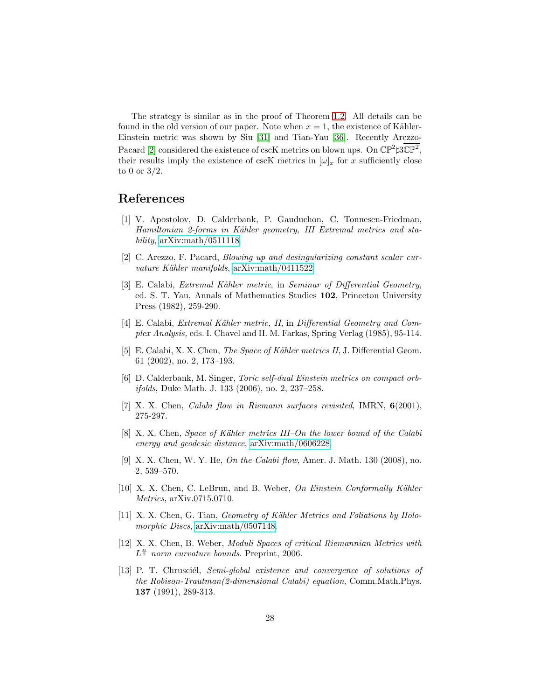The strategy is similar as in the proof of Theorem [1.2.](#page-2-0) All details can be found in the old version of our paper. Note when  $x = 1$ , the existence of Kähler-Einstein metric was shown by Siu [\[31\]](#page-29-6) and Tian-Yau [\[36\]](#page-29-7). Recently Arezzo-Pacard [\[2\]](#page-27-10) considered the existence of cscK metrics on blown ups. On  $\mathbb{CP}^2 \sharp 3\mathbb{CP}^2$ , their results imply the existence of cscK metrics in  $[\omega]_x$  for x sufficiently close to 0 or  $3/2$ .

## <span id="page-27-8"></span>References

- [1] V. Apostolov, D. Calderbank, P. Gauduchon, C. Tonnesen-Friedman, Hamiltonian 2-forms in Kähler geometry, III Extremal metrics and stability,  $arXiv:math/0511118$ .
- <span id="page-27-10"></span><span id="page-27-0"></span>[2] C. Arezzo, F. Pacard, Blowing up and desingularizing constant scalar curvature Kähler manifolds, [arXiv:math/0411522.](http://arxiv.org/abs/math/0411522)
- [3] E. Calabi, *Extremal Kähler metric*, in *Seminar of Differential Geometry*, ed. S. T. Yau, Annals of Mathematics Studies 102, Princeton University Press (1982), 259-290.
- <span id="page-27-7"></span>[4] E. Calabi, *Extremal Kähler metric, II*, in *Differential Geometry and Com*plex Analysis, eds. I. Chavel and H. M. Farkas, Spring Verlag (1985), 95-114.
- <span id="page-27-11"></span>[5] E. Calabi, X. X. Chen, The Space of Kähler metrics II, J. Differential Geom. 61 (2002), no. 2, 173–193.
- <span id="page-27-4"></span>[6] D. Calderbank, M. Singer, Toric self-dual Einstein metrics on compact orbifolds, Duke Math. J. 133 (2006), no. 2, 237–258.
- <span id="page-27-2"></span><span id="page-27-1"></span>[7] X. X. Chen, Calabi flow in Riemann surfaces revisited, IMRN, 6(2001), 275-297.
- [8] X. X. Chen, Space of Kähler metrics  $III$ –On the lower bound of the Calabi energy and geodesic distance, [arXiv:math/0606228.](http://arxiv.org/abs/math/0606228)
- <span id="page-27-3"></span>[9] X. X. Chen, W. Y. He, On the Calabi flow, Amer. J. Math. 130 (2008), no. 2, 539–570.
- <span id="page-27-5"></span>[10] X. X. Chen, C. LeBrun, and B. Weber, On Einstein Conformally Kähler Metrics, arXiv.0715.0710.
- <span id="page-27-9"></span>[11] X. X. Chen, G. Tian, Geometry of Kähler Metrics and Foliations by Holomorphic Discs, [arXiv:math/0507148.](http://arxiv.org/abs/math/0507148)
- <span id="page-27-6"></span>[12] X. X. Chen, B. Weber, Moduli Spaces of critical Riemannian Metrics with  $L^{\frac{n}{2}}$  norm curvature bounds. Preprint, 2006.
- [13] P. T. Chrusciél, Semi-global existence and convergence of solutions of the Robison-Trautman(2-dimensional Calabi) equation, Comm.Math.Phys. 137 (1991), 289-313.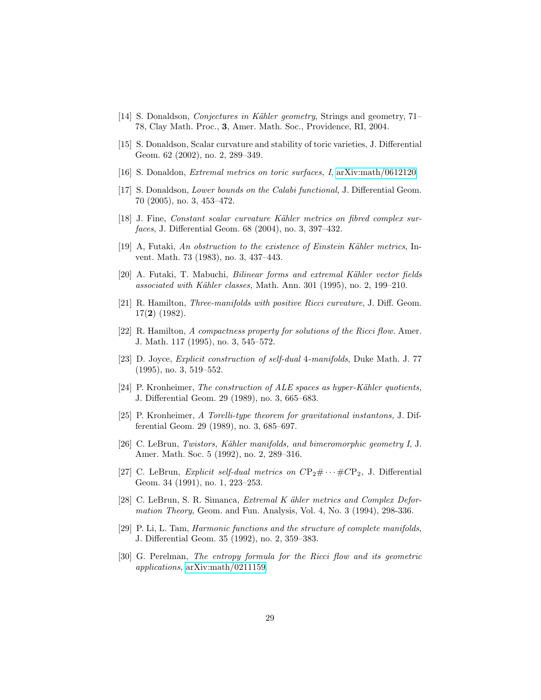- <span id="page-28-7"></span><span id="page-28-0"></span>[14] S. Donaldson, *Conjectures in Kähler geometry*, Strings and geometry, 71– 78, Clay Math. Proc., 3, Amer. Math. Soc., Providence, RI, 2004.
- <span id="page-28-8"></span>[15] S. Donaldson, Scalar curvature and stability of toric varieties, J. Differential Geom. 62 (2002), no. 2, 289–349.
- <span id="page-28-14"></span>[16] S. Donaldon, Extremal metrics on toric surfaces, I, [arXiv:math/0612120.](http://arxiv.org/abs/math/0612120)
- [17] S. Donaldson, *Lower bounds on the Calabi functional*, J. Differential Geom. 70 (2005), no. 3, 453–472.
- [18] J. Fine, Constant scalar curvature Kähler metrics on fibred complex surfaces, J. Differential Geom. 68 (2004), no. 3, 397–432.
- <span id="page-28-13"></span><span id="page-28-9"></span>[19] A, Futaki, An obstruction to the existence of Einstein Kähler metrics, Invent. Math. 73 (1983), no. 3, 437–443.
- <span id="page-28-10"></span>[20] A. Futaki, T. Mabuchi, *Bilinear forms and extremal Kähler vector fields* associated with Kähler classes, Math. Ann. 301 (1995), no. 2, 199–210.
- [21] R. Hamilton, Three-manifolds with positive Ricci curvature, J. Diff. Geom. 17(2) (1982).
- <span id="page-28-11"></span>[22] R. Hamilton, A compactness property for solutions of the Ricci flow. Amer. J. Math. 117 (1995), no. 3, 545–572.
- <span id="page-28-2"></span>[23] D. Joyce, Explicit construction of self-dual 4-manifolds, Duke Math. J. 77 (1995), no. 3, 519–552.
- <span id="page-28-1"></span>[24] P. Kronheimer, The construction of ALE spaces as hyper-Kähler quotients, J. Differential Geom. 29 (1989), no. 3, 665–683.
- <span id="page-28-5"></span>[25] P. Kronheimer, A Torelli-type theorem for gravitational instantons, J. Differential Geom. 29 (1989), no. 3, 685–697.
- <span id="page-28-3"></span>[26] C. LeBrun, Twistors, Kähler manifolds, and bimeromorphic geometry  $I, J$ . Amer. Math. Soc. 5 (1992), no. 2, 289–316.
- <span id="page-28-4"></span>[27] C. LeBrun, *Explicit self-dual metrics on*  $CP_2 \# \cdots \# CP_2$ , J. Differential Geom. 34 (1991), no. 1, 223–253.
- [28] C. LeBrun, S. R. Simanca, Extremal K ähler metrics and Complex Deformation Theory, Geom. and Fun. Analysis, Vol. 4, No. 3 (1994), 298-336.
- <span id="page-28-12"></span>[29] P. Li, L. Tam, Harmonic functions and the structure of complete manifolds, J. Differential Geom. 35 (1992), no. 2, 359–383.
- <span id="page-28-6"></span>[30] G. Perelman, The entropy formula for the Ricci flow and its geometric applications, [arXiv:math/0211159.](http://arxiv.org/abs/math/0211159)